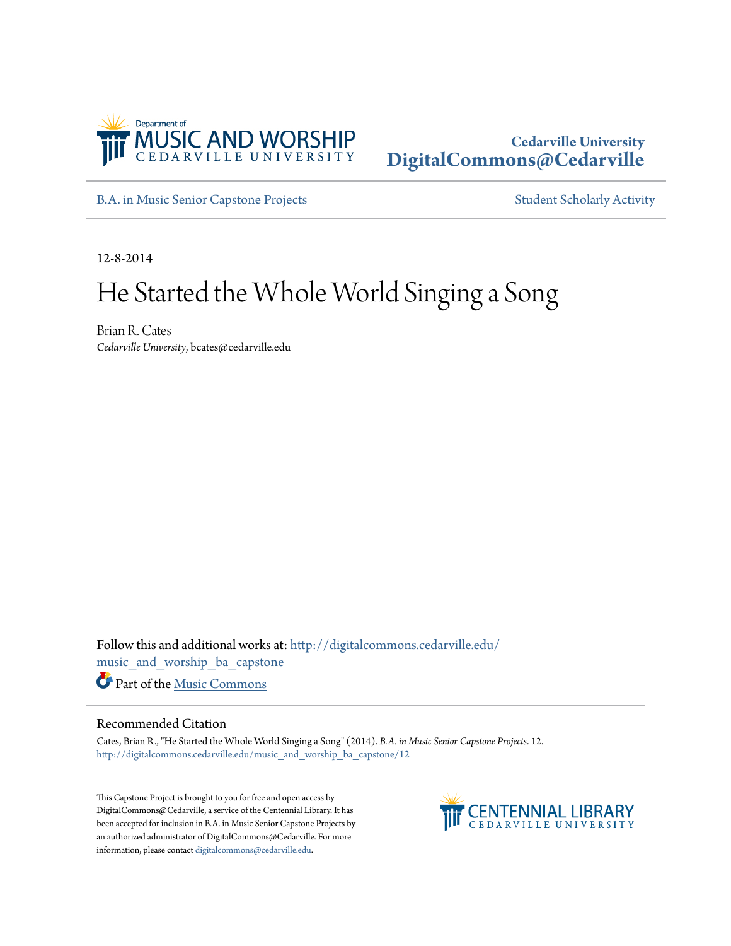

## **Cedarville University [DigitalCommons@Cedarville](http://digitalcommons.cedarville.edu?utm_source=digitalcommons.cedarville.edu%2Fmusic_and_worship_ba_capstone%2F12&utm_medium=PDF&utm_campaign=PDFCoverPages)**

[B.A. in Music Senior Capstone Projects](http://digitalcommons.cedarville.edu/music_and_worship_ba_capstone?utm_source=digitalcommons.cedarville.edu%2Fmusic_and_worship_ba_capstone%2F12&utm_medium=PDF&utm_campaign=PDFCoverPages) [Student Scholarly Activity](http://digitalcommons.cedarville.edu/music_student_scholarly_activity?utm_source=digitalcommons.cedarville.edu%2Fmusic_and_worship_ba_capstone%2F12&utm_medium=PDF&utm_campaign=PDFCoverPages)

12-8-2014

# He Started the Whole World Singing a Song

Brian R. Cates *Cedarville University*, bcates@cedarville.edu

Follow this and additional works at: [http://digitalcommons.cedarville.edu/](http://digitalcommons.cedarville.edu/music_and_worship_ba_capstone?utm_source=digitalcommons.cedarville.edu%2Fmusic_and_worship_ba_capstone%2F12&utm_medium=PDF&utm_campaign=PDFCoverPages) [music\\_and\\_worship\\_ba\\_capstone](http://digitalcommons.cedarville.edu/music_and_worship_ba_capstone?utm_source=digitalcommons.cedarville.edu%2Fmusic_and_worship_ba_capstone%2F12&utm_medium=PDF&utm_campaign=PDFCoverPages) Part of the [Music Commons](http://network.bepress.com/hgg/discipline/518?utm_source=digitalcommons.cedarville.edu%2Fmusic_and_worship_ba_capstone%2F12&utm_medium=PDF&utm_campaign=PDFCoverPages)

#### Recommended Citation

Cates, Brian R., "He Started the Whole World Singing a Song" (2014). *B.A. in Music Senior Capstone Projects*. 12. [http://digitalcommons.cedarville.edu/music\\_and\\_worship\\_ba\\_capstone/12](http://digitalcommons.cedarville.edu/music_and_worship_ba_capstone/12?utm_source=digitalcommons.cedarville.edu%2Fmusic_and_worship_ba_capstone%2F12&utm_medium=PDF&utm_campaign=PDFCoverPages)

This Capstone Project is brought to you for free and open access by DigitalCommons@Cedarville, a service of the Centennial Library. It has been accepted for inclusion in B.A. in Music Senior Capstone Projects by an authorized administrator of DigitalCommons@Cedarville. For more information, please contact [digitalcommons@cedarville.edu.](mailto:digitalcommons@cedarville.edu)

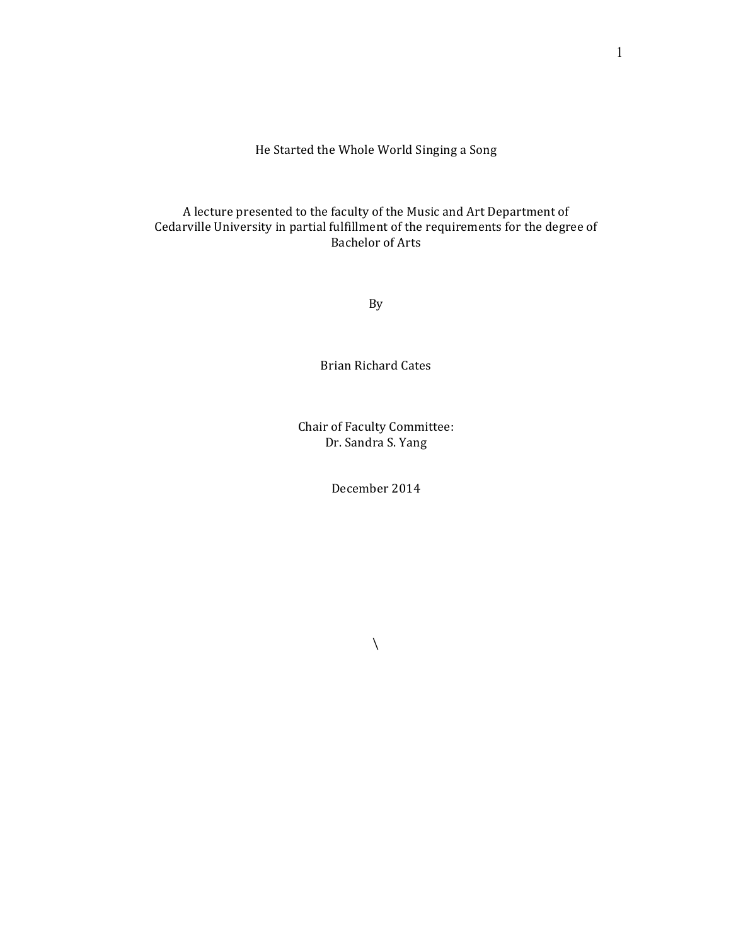He Started the Whole World Singing a Song

### A lecture presented to the faculty of the Music and Art Department of Cedarville University in partial fulfillment of the requirements for the degree of **Bachelor** of Arts

By

**Brian Richard Cates** 

Chair of Faculty Committee: Dr. Sandra S. Yang

December 2014

 $\bar{\mathcal{L}}$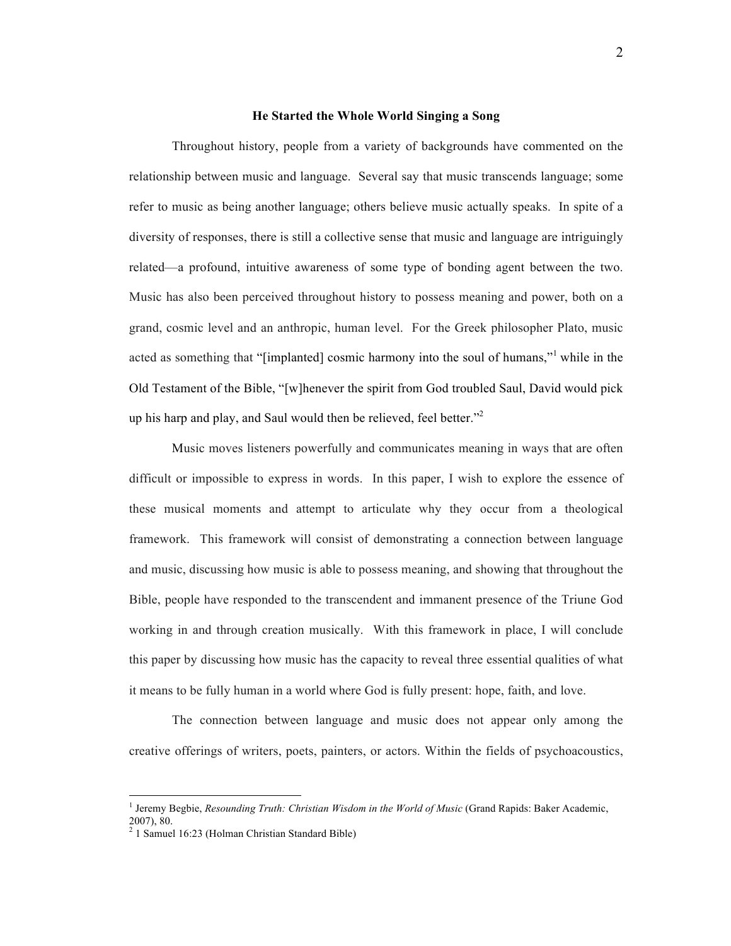#### **He Started the Whole World Singing a Song**

Throughout history, people from a variety of backgrounds have commented on the relationship between music and language. Several say that music transcends language; some refer to music as being another language; others believe music actually speaks. In spite of a diversity of responses, there is still a collective sense that music and language are intriguingly related—a profound, intuitive awareness of some type of bonding agent between the two. Music has also been perceived throughout history to possess meaning and power, both on a grand, cosmic level and an anthropic, human level. For the Greek philosopher Plato, music acted as something that "[implanted] cosmic harmony into the soul of humans," while in the Old Testament of the Bible, "[w]henever the spirit from God troubled Saul, David would pick up his harp and play, and Saul would then be relieved, feel better."<sup>2</sup>

Music moves listeners powerfully and communicates meaning in ways that are often difficult or impossible to express in words. In this paper, I wish to explore the essence of these musical moments and attempt to articulate why they occur from a theological framework. This framework will consist of demonstrating a connection between language and music, discussing how music is able to possess meaning, and showing that throughout the Bible, people have responded to the transcendent and immanent presence of the Triune God working in and through creation musically. With this framework in place, I will conclude this paper by discussing how music has the capacity to reveal three essential qualities of what it means to be fully human in a world where God is fully present: hope, faith, and love.

The connection between language and music does not appear only among the creative offerings of writers, poets, painters, or actors. Within the fields of psychoacoustics,

<sup>&</sup>lt;sup>1</sup> Jeremy Begbie, *Resounding Truth: Christian Wisdom in the World of Music* (Grand Rapids: Baker Academic, 2007), 80.

<sup>&</sup>lt;sup>2</sup> 1 Samuel 16:23 (Holman Christian Standard Bible)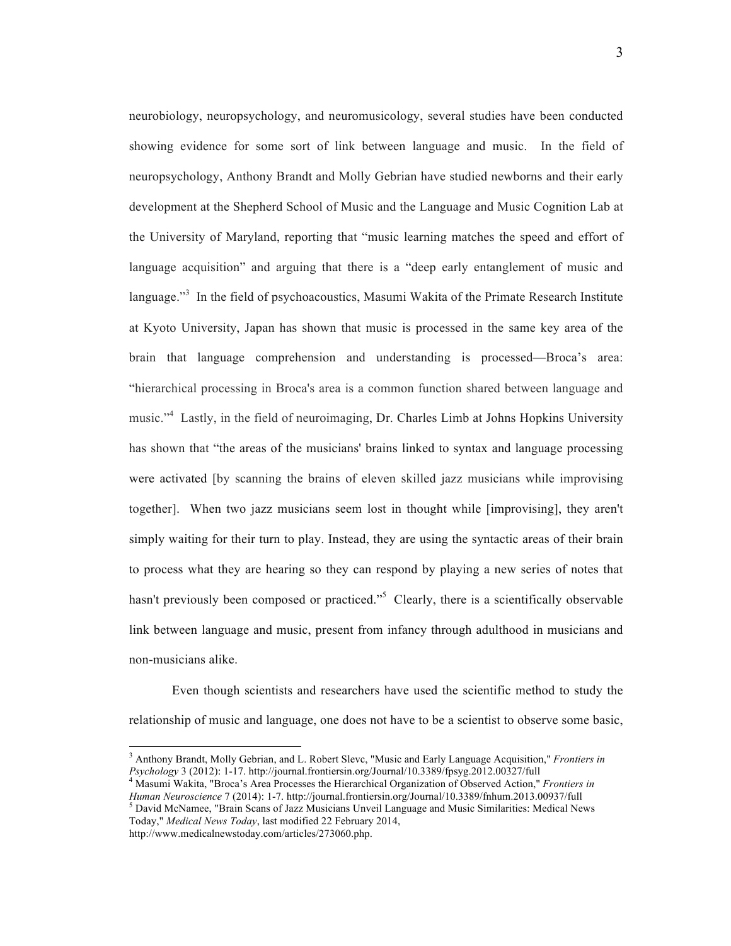neurobiology, neuropsychology, and neuromusicology, several studies have been conducted showing evidence for some sort of link between language and music. In the field of neuropsychology, Anthony Brandt and Molly Gebrian have studied newborns and their early development at the Shepherd School of Music and the Language and Music Cognition Lab at the University of Maryland, reporting that "music learning matches the speed and effort of language acquisition" and arguing that there is a "deep early entanglement of music and language."<sup>3</sup> In the field of psychoacoustics, Masumi Wakita of the Primate Research Institute at Kyoto University, Japan has shown that music is processed in the same key area of the brain that language comprehension and understanding is processed—Broca's area: "hierarchical processing in Broca's area is a common function shared between language and music."<sup>4</sup> Lastly, in the field of neuroimaging, Dr. Charles Limb at Johns Hopkins University has shown that "the areas of the musicians' brains linked to syntax and language processing were activated [by scanning the brains of eleven skilled jazz musicians while improvising together]. When two jazz musicians seem lost in thought while [improvising], they aren't simply waiting for their turn to play. Instead, they are using the syntactic areas of their brain to process what they are hearing so they can respond by playing a new series of notes that hasn't previously been composed or practiced."<sup>5</sup> Clearly, there is a scientifically observable link between language and music, present from infancy through adulthood in musicians and non-musicians alike.

Even though scientists and researchers have used the scientific method to study the relationship of music and language, one does not have to be a scientist to observe some basic,

<sup>&</sup>lt;sup>3</sup> Anthony Brandt, Molly Gebrian, and L. Robert Slevc, "Music and Early Language Acquisition," *Frontiers in Psychology* 3 (2012): 1-17. http://journal.frontiersin.org/Journal/10.3389/fpsyg.2012.00327/full

<sup>&</sup>lt;sup>4</sup> Masumi Wakita, "Broca's Area Processes the Hierarchical Organization of Observed Action," *Frontiers in Human Neuroscience* 7 (2014): 1-7. http://journal.frontiersin.org/Journal/10.3389/fnhum.2013.00937/full David McNamee, "Brain Scans of Jazz Musicians Unveil Language and Music Similarities: Medical News Today," *Medical News Today*, last modified 22 February 2014,

http://www.medicalnewstoday.com/articles/273060.php.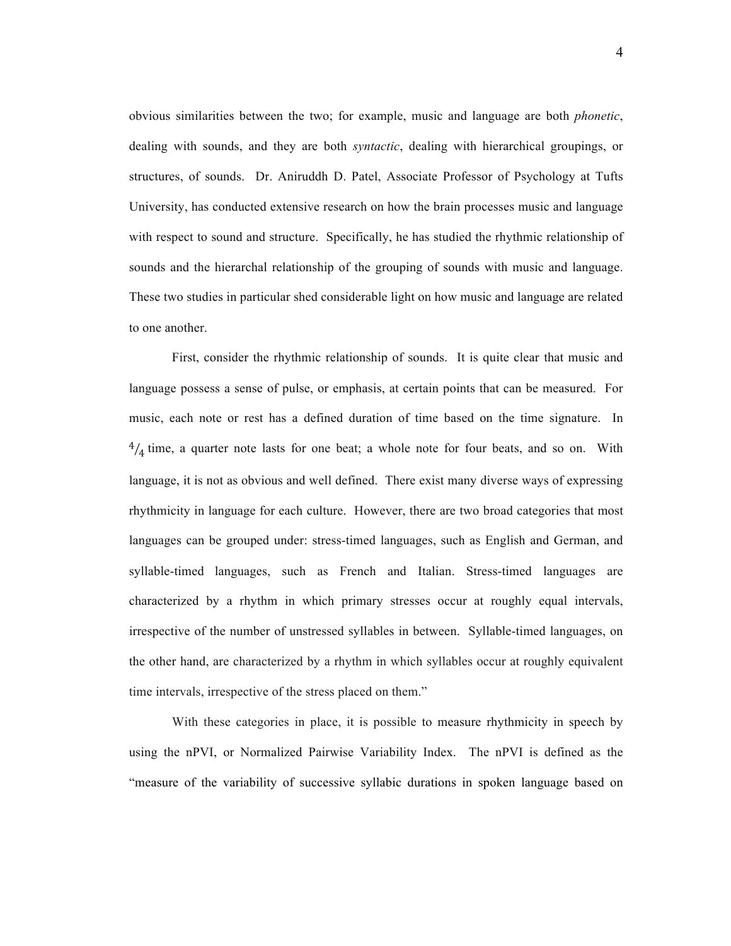obvious similarities between the two; for example, music and language are both *phonetic*, dealing with sounds, and they are both *syntactic*, dealing with hierarchical groupings, or structures, of sounds. Dr. Aniruddh D. Patel, Associate Professor of Psychology at Tufts University, has conducted extensive research on how the brain processes music and language with respect to sound and structure. Specifically, he has studied the rhythmic relationship of sounds and the hierarchal relationship of the grouping of sounds with music and language. These two studies in particular shed considerable light on how music and language are related to one another.

First, consider the rhythmic relationship of sounds. It is quite clear that music and language possess a sense of pulse, or emphasis, at certain points that can be measured. For music, each note or rest has a defined duration of time based on the time signature. In  $\frac{4}{4}$  time, a quarter note lasts for one beat; a whole note for four beats, and so on. With language, it is not as obvious and well defined. There exist many diverse ways of expressing rhythmicity in language for each culture. However, there are two broad categories that most languages can be grouped under: stress-timed languages, such as English and German, and syllable-timed languages, such as French and Italian. Stress-timed languages are characterized by a rhythm in which primary stresses occur at roughly equal intervals, irrespective of the number of unstressed syllables in between. Syllable-timed languages, on the other hand, are characterized by a rhythm in which syllables occur at roughly equivalent time intervals, irrespective of the stress placed on them."

With these categories in place, it is possible to measure rhythmicity in speech by using the nPVI, or Normalized Pairwise Variability Index. The nPVI is defined as the "measure of the variability of successive syllabic durations in spoken language based on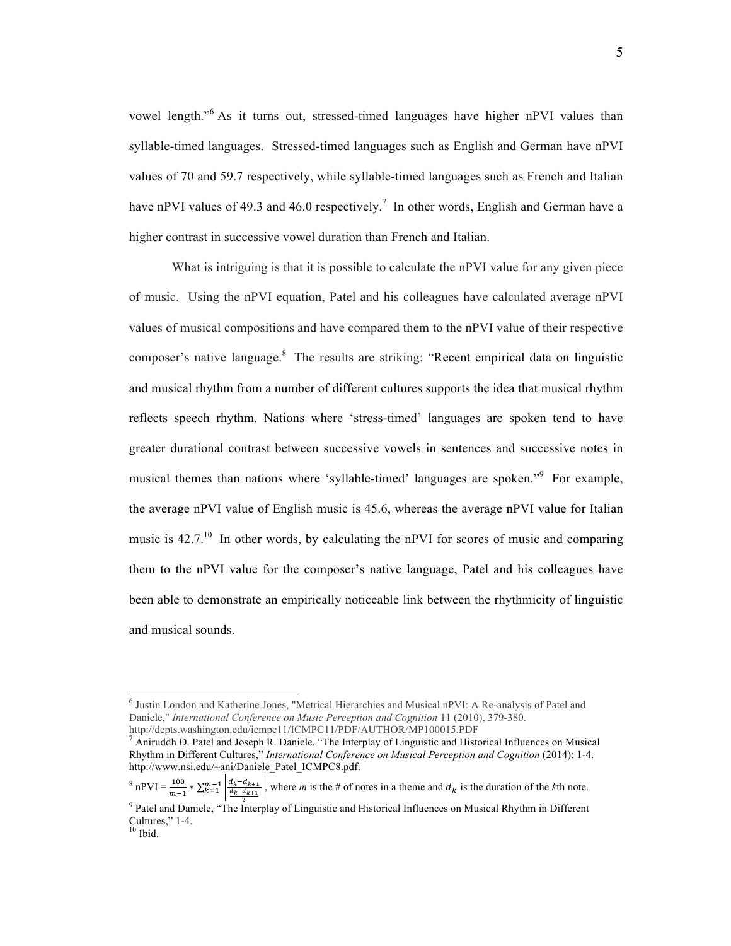vowel length."<sup>6</sup> As it turns out, stressed-timed languages have higher nPVI values than syllable-timed languages. Stressed-timed languages such as English and German have nPVI values of 70 and 59.7 respectively, while syllable-timed languages such as French and Italian have nPVI values of 49.3 and 46.0 respectively.<sup>7</sup> In other words, English and German have a higher contrast in successive vowel duration than French and Italian.

What is intriguing is that it is possible to calculate the nPVI value for any given piece of music. Using the nPVI equation, Patel and his colleagues have calculated average nPVI values of musical compositions and have compared them to the nPVI value of their respective composer's native language.<sup>8</sup> The results are striking: "Recent empirical data on linguistic and musical rhythm from a number of different cultures supports the idea that musical rhythm reflects speech rhythm. Nations where 'stress-timed' languages are spoken tend to have greater durational contrast between successive vowels in sentences and successive notes in musical themes than nations where 'syllable-timed' languages are spoken."<sup>9</sup> For example, the average nPVI value of English music is 45.6, whereas the average nPVI value for Italian music is  $42.7<sup>10</sup>$  In other words, by calculating the nPVI for scores of music and comparing them to the nPVI value for the composer's native language, Patel and his colleagues have been able to demonstrate an empirically noticeable link between the rhythmicity of linguistic and musical sounds.

 <sup>6</sup> Justin London and Katherine Jones, "Metrical Hierarchies and Musical nPVI: A Re-analysis of Patel and Daniele," *International Conference on Music Perception and Cognition* 11 (2010), 379-380. http://depts.washington.edu/icmpc11/ICMPC11/PDF/AUTHOR/MP100015.PDF

 $^7$  Aniruddh D. Patel and Joseph R. Daniele, "The Interplay of Linguistic and Historical Influences on Musical Rhythm in Different Cultures," *International Conference on Musical Perception and Cognition* (2014): 1-4. http://www.nsi.edu/~ani/Daniele\_Patel\_ICMPC8.pdf.

 $^8$  nPVI =  $\frac{100}{m-1}$   $*$   $\sum_{k=1}^{m-1}$   $\left| \frac{d_k - d_{k+1}}{d_k - d_{k+1}} \right|$ , where *m* is the # of notes in a theme and  $d_k$  is the duration of the *k*th note.

<sup>&</sup>lt;sup>9</sup> Patel and Daniele, "The Interplay of Linguistic and Historical Influences on Musical Rhythm in Different Cultures,"  $1-4$ .<br><sup>10</sup> Ibid.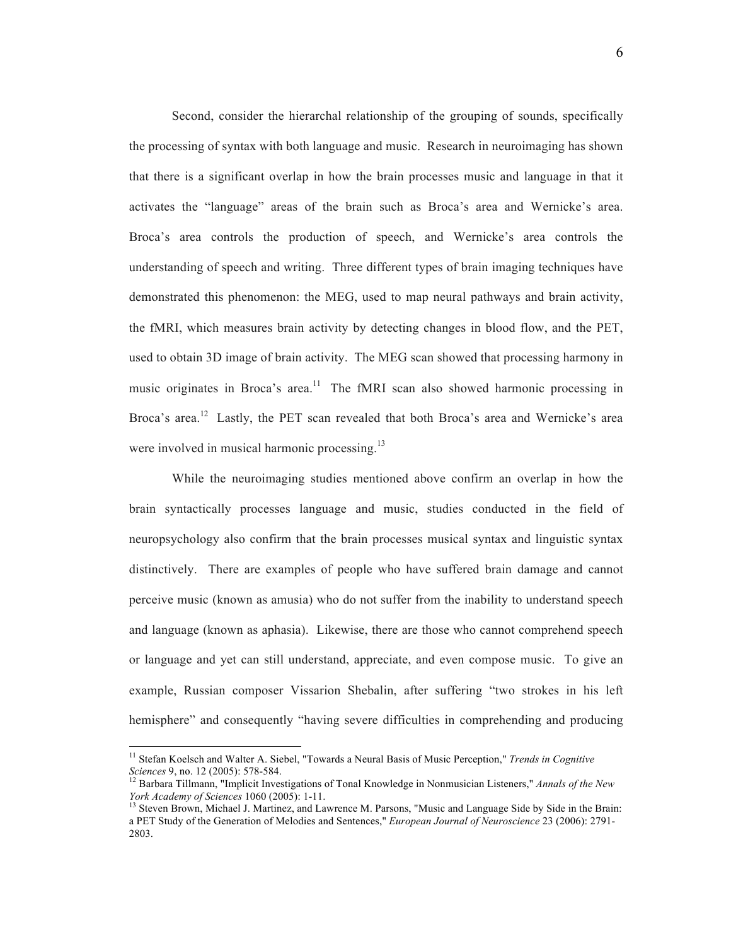Second, consider the hierarchal relationship of the grouping of sounds, specifically the processing of syntax with both language and music. Research in neuroimaging has shown that there is a significant overlap in how the brain processes music and language in that it activates the "language" areas of the brain such as Broca's area and Wernicke's area. Broca's area controls the production of speech, and Wernicke's area controls the understanding of speech and writing. Three different types of brain imaging techniques have demonstrated this phenomenon: the MEG, used to map neural pathways and brain activity, the fMRI, which measures brain activity by detecting changes in blood flow, and the PET, used to obtain 3D image of brain activity. The MEG scan showed that processing harmony in music originates in Broca's area.<sup>11</sup> The fMRI scan also showed harmonic processing in Broca's area.<sup>12</sup> Lastly, the PET scan revealed that both Broca's area and Wernicke's area were involved in musical harmonic processing.<sup>13</sup>

While the neuroimaging studies mentioned above confirm an overlap in how the brain syntactically processes language and music, studies conducted in the field of neuropsychology also confirm that the brain processes musical syntax and linguistic syntax distinctively. There are examples of people who have suffered brain damage and cannot perceive music (known as amusia) who do not suffer from the inability to understand speech and language (known as aphasia). Likewise, there are those who cannot comprehend speech or language and yet can still understand, appreciate, and even compose music. To give an example, Russian composer Vissarion Shebalin, after suffering "two strokes in his left hemisphere" and consequently "having severe difficulties in comprehending and producing

<sup>&</sup>lt;sup>11</sup> Stefan Koelsch and Walter A. Siebel, "Towards a Neural Basis of Music Perception," *Trends in Cognitive Sciences* 9, no. 12 (2005): 578-584.

<sup>&</sup>lt;sup>12</sup> Barbara Tillmann, "Implicit Investigations of Tonal Knowledge in Nonmusician Listeners," *Annals of the New York Academy of Sciences* 1060 (2005): 1-11.

<sup>&</sup>lt;sup>13</sup> Steven Brown, Michael J. Martinez, and Lawrence M. Parsons, "Music and Language Side by Side in the Brain: a PET Study of the Generation of Melodies and Sentences," *European Journal of Neuroscience* 23 (2006): 2791- 2803.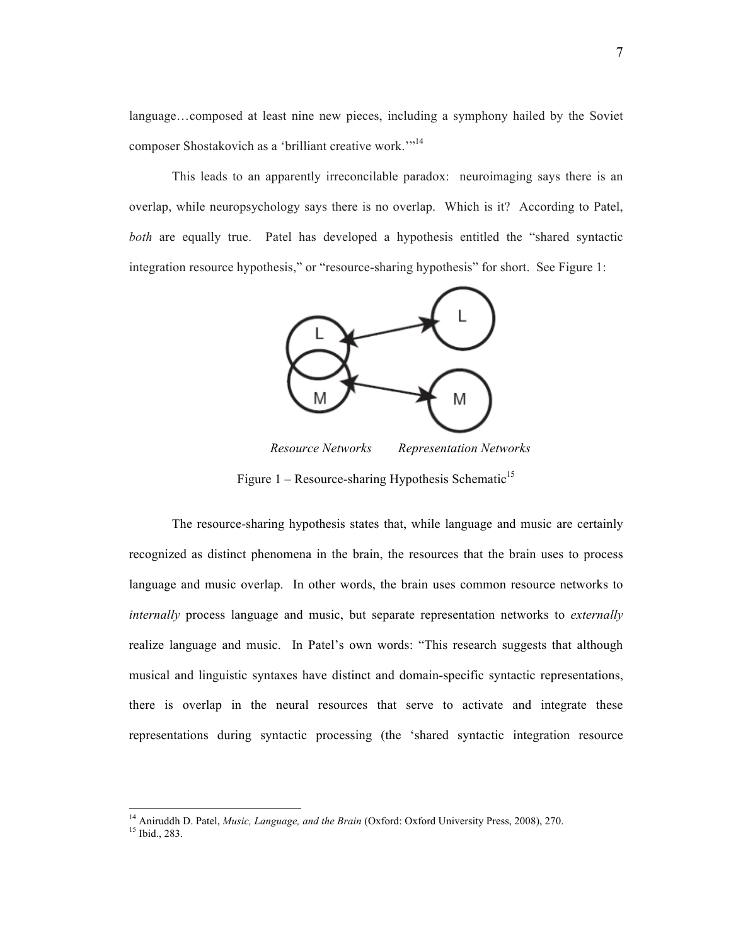language…composed at least nine new pieces, including a symphony hailed by the Soviet composer Shostakovich as a 'brilliant creative work.'"<sup>14</sup>

This leads to an apparently irreconcilable paradox: neuroimaging says there is an overlap, while neuropsychology says there is no overlap. Which is it? According to Patel, *both* are equally true. Patel has developed a hypothesis entitled the "shared syntactic integration resource hypothesis," or "resource-sharing hypothesis" for short. See Figure 1:



*Resource Networks Representation Networks*

Figure 1 – Resource-sharing Hypothesis Schematic<sup>15</sup>

The resource-sharing hypothesis states that, while language and music are certainly recognized as distinct phenomena in the brain, the resources that the brain uses to process language and music overlap. In other words, the brain uses common resource networks to *internally* process language and music, but separate representation networks to *externally* realize language and music. In Patel's own words: "This research suggests that although musical and linguistic syntaxes have distinct and domain-specific syntactic representations, there is overlap in the neural resources that serve to activate and integrate these representations during syntactic processing (the 'shared syntactic integration resource

<sup>&</sup>lt;sup>14</sup> Aniruddh D. Patel, *Music, Language, and the Brain* (Oxford: Oxford University Press, 2008), 270.<br><sup>15</sup> Ibid., 283.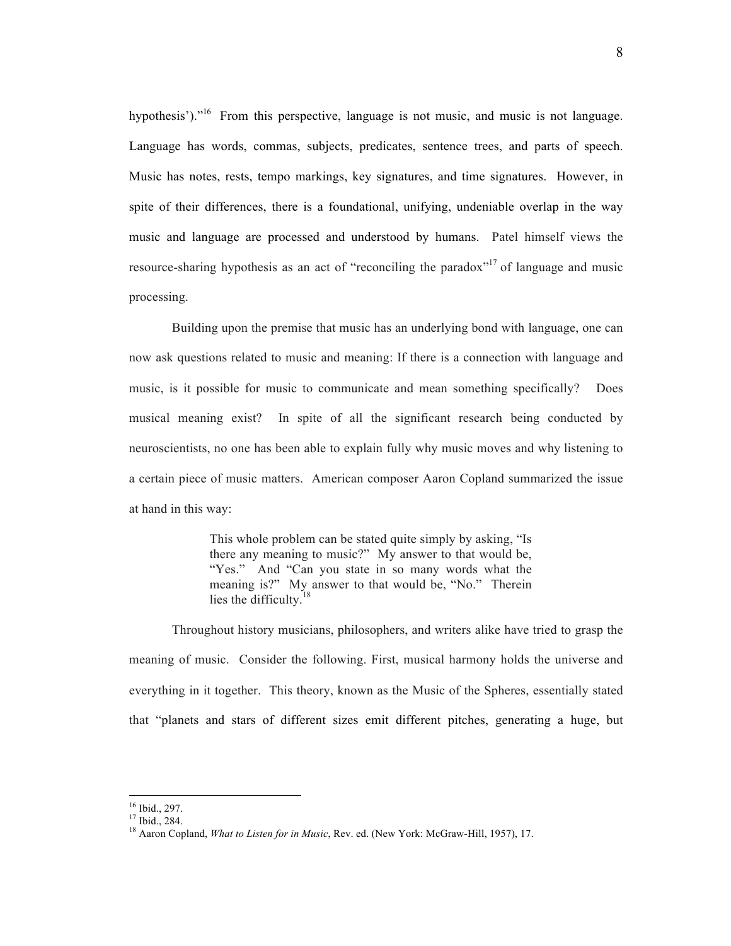hypothesis')."<sup>16</sup> From this perspective, language is not music, and music is not language. Language has words, commas, subjects, predicates, sentence trees, and parts of speech. Music has notes, rests, tempo markings, key signatures, and time signatures. However, in spite of their differences, there is a foundational, unifying, undeniable overlap in the way music and language are processed and understood by humans. Patel himself views the resource-sharing hypothesis as an act of "reconciling the paradox"<sup>17</sup> of language and music processing.

Building upon the premise that music has an underlying bond with language, one can now ask questions related to music and meaning: If there is a connection with language and music, is it possible for music to communicate and mean something specifically? Does musical meaning exist? In spite of all the significant research being conducted by neuroscientists, no one has been able to explain fully why music moves and why listening to a certain piece of music matters. American composer Aaron Copland summarized the issue at hand in this way:

> This whole problem can be stated quite simply by asking, "Is there any meaning to music?" My answer to that would be, "Yes." And "Can you state in so many words what the meaning is?" My answer to that would be, "No." Therein lies the difficulty.<sup>18</sup>

Throughout history musicians, philosophers, and writers alike have tried to grasp the meaning of music. Consider the following. First, musical harmony holds the universe and everything in it together. This theory, known as the Music of the Spheres, essentially stated that "planets and stars of different sizes emit different pitches, generating a huge, but

<sup>&</sup>lt;sup>16</sup> Ibid., 297.<br><sup>17</sup> Ibid., 284.<br><sup>18</sup> Aaron Copland, *What to Listen for in Music*, Rev. ed. (New York: McGraw-Hill, 1957), 17.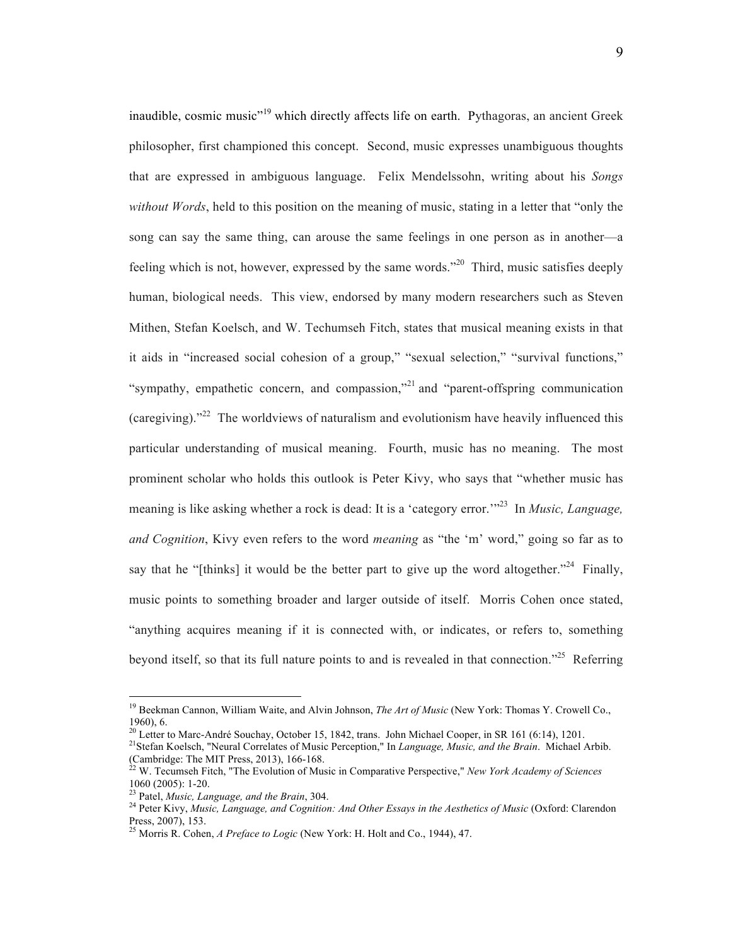inaudible, cosmic music<sup>"19</sup> which directly affects life on earth. Pythagoras, an ancient Greek philosopher, first championed this concept. Second, music expresses unambiguous thoughts that are expressed in ambiguous language. Felix Mendelssohn, writing about his *Songs without Words*, held to this position on the meaning of music, stating in a letter that "only the song can say the same thing, can arouse the same feelings in one person as in another—a feeling which is not, however, expressed by the same words."20 Third, music satisfies deeply human, biological needs. This view, endorsed by many modern researchers such as Steven Mithen, Stefan Koelsch, and W. Techumseh Fitch, states that musical meaning exists in that it aids in "increased social cohesion of a group," "sexual selection," "survival functions," "sympathy, empathetic concern, and compassion,"<sup>21</sup> and "parent-offspring communication" (caregiving)."22 The worldviews of naturalism and evolutionism have heavily influenced this particular understanding of musical meaning. Fourth, music has no meaning. The most prominent scholar who holds this outlook is Peter Kivy, who says that "whether music has meaning is like asking whether a rock is dead: It is a 'category error.'<sup>23</sup> In *Music, Language*, *and Cognition*, Kivy even refers to the word *meaning* as "the 'm' word," going so far as to say that he "[thinks] it would be the better part to give up the word altogether."<sup>24</sup> Finally, music points to something broader and larger outside of itself. Morris Cohen once stated, "anything acquires meaning if it is connected with, or indicates, or refers to, something beyond itself, so that its full nature points to and is revealed in that connection."<sup>25</sup> Referring

<sup>19</sup> Beekman Cannon, William Waite, and Alvin Johnson, *The Art of Music* (New York: Thomas Y. Crowell Co., 1960), 6.<br><sup>20</sup> Letter to Marc-André Souchay, October 15, 1842, trans. John Michael Cooper, in SR 161 (6:14), 1201.

<sup>&</sup>lt;sup>21</sup> Stefan Koelsch, "Neural Correlates of Music Perception," In *Language, Music, and the Brain*. Michael Arbib.

<sup>(</sup>Cambridge: The MIT Press, 2013), 166-168.<br><sup>22</sup> W. Tecumseh Fitch, "The Evolution of Music in Comparative Perspective," *New York Academy of Sciences* 1060 (2005): 1-20.

<sup>&</sup>lt;sup>23</sup> Patel, *Music, Language, and the Brain*, 304.<br><sup>24</sup> Peter Kivy, *Music, Language, and Cognition: And Other Essays in the Aesthetics of Music (Oxford: Clarendon* Press, 2007), 153.

<sup>25</sup> Morris R. Cohen, *A Preface to Logic* (New York: H. Holt and Co., 1944), 47.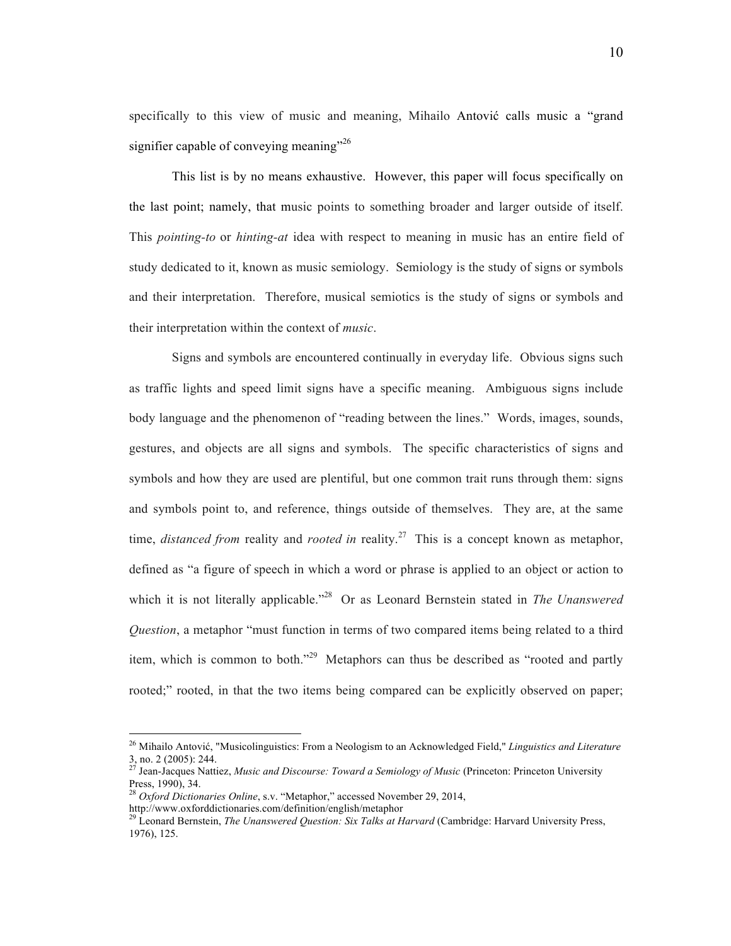specifically to this view of music and meaning, Mihailo Antović calls music a "grand signifier capable of conveying meaning"<sup>26</sup>

This list is by no means exhaustive. However, this paper will focus specifically on the last point; namely, that music points to something broader and larger outside of itself. This *pointing-to* or *hinting-at* idea with respect to meaning in music has an entire field of study dedicated to it, known as music semiology. Semiology is the study of signs or symbols and their interpretation. Therefore, musical semiotics is the study of signs or symbols and their interpretation within the context of *music*.

Signs and symbols are encountered continually in everyday life. Obvious signs such as traffic lights and speed limit signs have a specific meaning. Ambiguous signs include body language and the phenomenon of "reading between the lines." Words, images, sounds, gestures, and objects are all signs and symbols. The specific characteristics of signs and symbols and how they are used are plentiful, but one common trait runs through them: signs and symbols point to, and reference, things outside of themselves. They are, at the same time, *distanced from* reality and *rooted in* reality. 27 This is a concept known as metaphor, defined as "a figure of speech in which a word or phrase is applied to an object or action to which it is not literally applicable."<sup>28</sup> Or as Leonard Bernstein stated in *The Unanswered Question*, a metaphor "must function in terms of two compared items being related to a third item, which is common to both."<sup>29</sup> Metaphors can thus be described as "rooted and partly rooted;" rooted, in that the two items being compared can be explicitly observed on paper;

<sup>26</sup> Mihailo Antović, "Musicolinguistics: From a Neologism to an Acknowledged Field," *Linguistics and Literature* 3, no. 2 (2005): 244. <sup>27</sup> Jean-Jacques Nattiez, *Music and Discourse: Toward a Semiology of Music* (Princeton: Princeton University

Press, 1990), 34.

<sup>28</sup> *Oxford Dictionaries Online*, s.v. "Metaphor," accessed November 29, 2014,

http://www.oxforddictionaries.com/definition/english/metaphor

<sup>&</sup>lt;sup>2</sup> Leonard Bernstein, *The Unanswered Question: Six Talks at Harvard* (Cambridge: Harvard University Press, 1976), 125.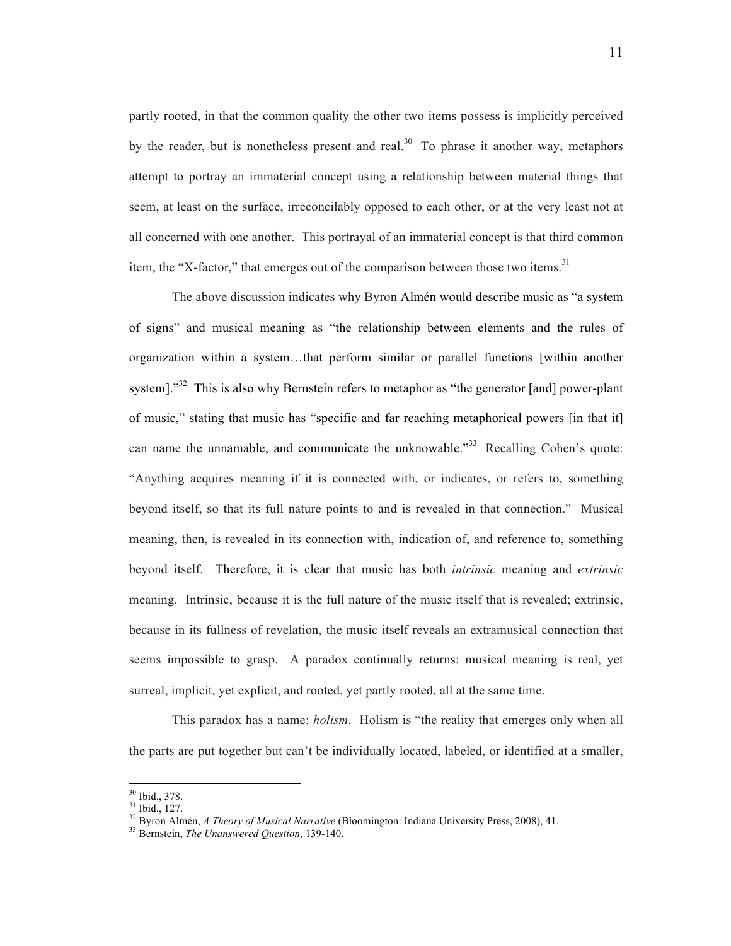partly rooted, in that the common quality the other two items possess is implicitly perceived by the reader, but is nonetheless present and real.<sup>30</sup> To phrase it another way, metaphors attempt to portray an immaterial concept using a relationship between material things that seem, at least on the surface, irreconcilably opposed to each other, or at the very least not at all concerned with one another. This portrayal of an immaterial concept is that third common item, the "X-factor," that emerges out of the comparison between those two items.<sup>31</sup>

The above discussion indicates why Byron Almén would describe music as "a system of signs" and musical meaning as "the relationship between elements and the rules of organization within a system…that perform similar or parallel functions [within another system]."<sup>32</sup> This is also why Bernstein refers to metaphor as "the generator [and] power-plant of music," stating that music has "specific and far reaching metaphorical powers [in that it] can name the unnamable, and communicate the unknowable."<sup>33</sup> Recalling Cohen's quote: "Anything acquires meaning if it is connected with, or indicates, or refers to, something beyond itself, so that its full nature points to and is revealed in that connection." Musical meaning, then, is revealed in its connection with, indication of, and reference to, something beyond itself. Therefore, it is clear that music has both *intrinsic* meaning and *extrinsic*  meaning. Intrinsic, because it is the full nature of the music itself that is revealed; extrinsic, because in its fullness of revelation, the music itself reveals an extramusical connection that seems impossible to grasp. A paradox continually returns: musical meaning is real, yet surreal, implicit, yet explicit, and rooted, yet partly rooted, all at the same time.

This paradox has a name: *holism*. Holism is "the reality that emerges only when all the parts are put together but can't be individually located, labeled, or identified at a smaller,

 $30$  Ibid., 378.<br> $31$  Ibid., 127.

<sup>&</sup>lt;sup>32</sup> Byron Almén, *A Theory of Musical Narrative* (Bloomington: Indiana University Press, 2008), 41.<br><sup>33</sup> Bernstein, *The Unanswered Question*, 139-140.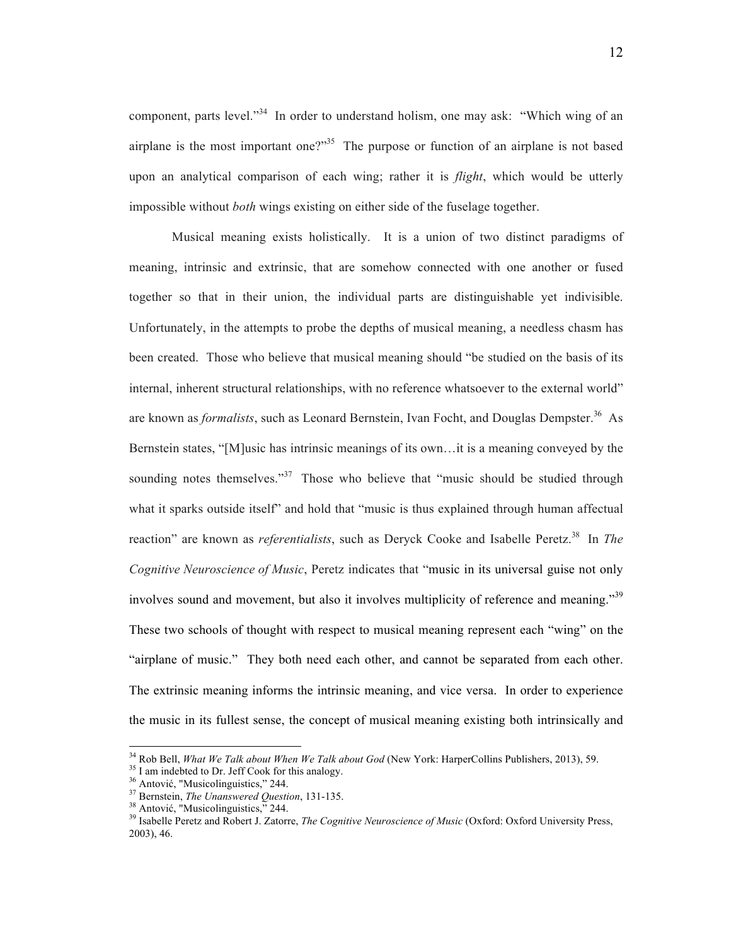component, parts level."<sup>34</sup> In order to understand holism, one may ask: "Which wing of an airplane is the most important one?"<sup>35</sup> The purpose or function of an airplane is not based upon an analytical comparison of each wing; rather it is *flight*, which would be utterly impossible without *both* wings existing on either side of the fuselage together.

Musical meaning exists holistically. It is a union of two distinct paradigms of meaning, intrinsic and extrinsic, that are somehow connected with one another or fused together so that in their union, the individual parts are distinguishable yet indivisible. Unfortunately, in the attempts to probe the depths of musical meaning, a needless chasm has been created. Those who believe that musical meaning should "be studied on the basis of its internal, inherent structural relationships, with no reference whatsoever to the external world" are known as *formalists*, such as Leonard Bernstein, Ivan Focht, and Douglas Dempster.<sup>36</sup> As Bernstein states, "[M]usic has intrinsic meanings of its own…it is a meaning conveyed by the sounding notes themselves."<sup>37</sup> Those who believe that "music should be studied through what it sparks outside itself" and hold that "music is thus explained through human affectual reaction" are known as *referentialists*, such as Deryck Cooke and Isabelle Peretz.<sup>38</sup> In *The Cognitive Neuroscience of Music*, Peretz indicates that "music in its universal guise not only involves sound and movement, but also it involves multiplicity of reference and meaning."<sup>39</sup> These two schools of thought with respect to musical meaning represent each "wing" on the "airplane of music." They both need each other, and cannot be separated from each other. The extrinsic meaning informs the intrinsic meaning, and vice versa. In order to experience the music in its fullest sense, the concept of musical meaning existing both intrinsically and

<sup>&</sup>lt;sup>34</sup> Rob Bell, *What We Talk about When We Talk about God* (New York: HarperCollins Publishers, 2013), 59.<br><sup>35</sup> I am indebted to Dr. Jeff Cook for this analogy.<br><sup>36</sup> Antović, "Musicolinguistics," 244.<br><sup>37</sup> Bernstein, *The* 2003), 46.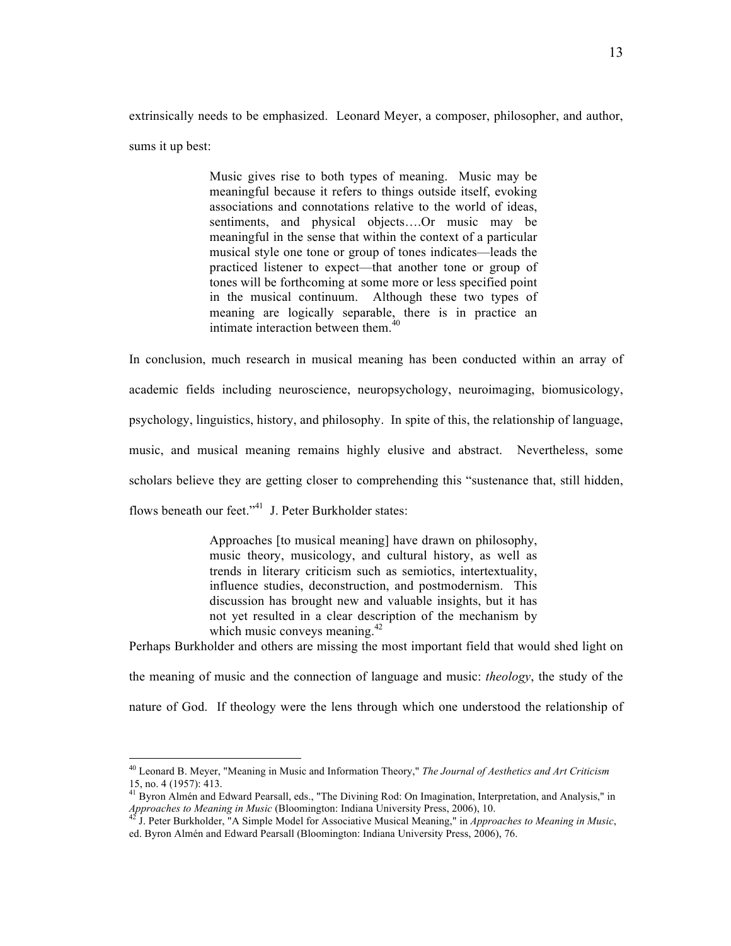extrinsically needs to be emphasized. Leonard Meyer, a composer, philosopher, and author, sums it up best:

> Music gives rise to both types of meaning. Music may be meaningful because it refers to things outside itself, evoking associations and connotations relative to the world of ideas, sentiments, and physical objects….Or music may be meaningful in the sense that within the context of a particular musical style one tone or group of tones indicates—leads the practiced listener to expect—that another tone or group of tones will be forthcoming at some more or less specified point in the musical continuum. Although these two types of meaning are logically separable, there is in practice an intimate interaction between them.<sup>40</sup>

In conclusion, much research in musical meaning has been conducted within an array of academic fields including neuroscience, neuropsychology, neuroimaging, biomusicology, psychology, linguistics, history, and philosophy. In spite of this, the relationship of language, music, and musical meaning remains highly elusive and abstract. Nevertheless, some scholars believe they are getting closer to comprehending this "sustenance that, still hidden, flows beneath our feet."<sup>41</sup> J. Peter Burkholder states:

> Approaches [to musical meaning] have drawn on philosophy, music theory, musicology, and cultural history, as well as trends in literary criticism such as semiotics, intertextuality, influence studies, deconstruction, and postmodernism. This discussion has brought new and valuable insights, but it has not yet resulted in a clear description of the mechanism by which music conveys meaning.<sup>42</sup>

Perhaps Burkholder and others are missing the most important field that would shed light on

the meaning of music and the connection of language and music: *theology*, the study of the nature of God. If theology were the lens through which one understood the relationship of

 <sup>40</sup> Leonard B. Meyer, "Meaning in Music and Information Theory," *The Journal of Aesthetics and Art Criticism*

<sup>&</sup>lt;sup>41</sup> Byron Almén and Edward Pearsall, eds., "The Divining Rod: On Imagination, Interpretation, and Analysis," in *Approaches to Meaning in Music* (Bloomington: Indiana University Press, 2006), 10.

J. Peter Burkholder, <sup>"</sup>A Simple Model for Associative Musical Meaning," in *Approaches to Meaning in Music*, ed. Byron Almén and Edward Pearsall (Bloomington: Indiana University Press, 2006), 76.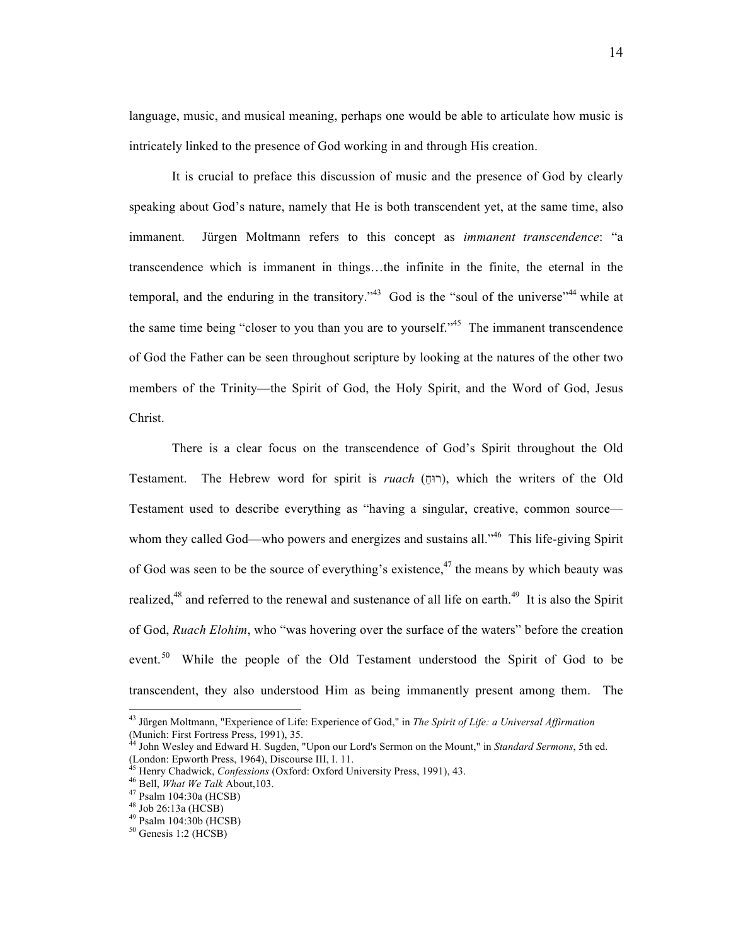language, music, and musical meaning, perhaps one would be able to articulate how music is intricately linked to the presence of God working in and through His creation.

It is crucial to preface this discussion of music and the presence of God by clearly speaking about God's nature, namely that He is both transcendent yet, at the same time, also immanent. Jürgen Moltmann refers to this concept as *immanent transcendence*: "a transcendence which is immanent in things…the infinite in the finite, the eternal in the temporal, and the enduring in the transitory.<sup> $343$ </sup> God is the "soul of the universe"<sup>44</sup> while at the same time being "closer to you than you are to yourself."<sup>45</sup> The immanent transcendence of God the Father can be seen throughout scripture by looking at the natures of the other two members of the Trinity—the Spirit of God, the Holy Spirit, and the Word of God, Jesus Christ.

There is a clear focus on the transcendence of God's Spirit throughout the Old Testament. The Hebrew word for spirit is *ruach* (רוּח), which the writers of the Old Testament used to describe everything as "having a singular, creative, common source whom they called God—who powers and energizes and sustains all.<sup>346</sup> This life-giving Spirit of God was seen to be the source of everything's existence,<sup>47</sup> the means by which beauty was realized,<sup>48</sup> and referred to the renewal and sustenance of all life on earth.<sup>49</sup> It is also the Spirit of God, *Ruach Elohim*, who "was hovering over the surface of the waters" before the creation event.<sup>50</sup> While the people of the Old Testament understood the Spirit of God to be transcendent, they also understood Him as being immanently present among them. The

<sup>43</sup> Jürgen Moltmann, "Experience of Life: Experience of God," in *The Spirit of Life: a Universal Affirmation*

<sup>(</sup>Munich: First Fortress Press, 1991), 35.<br><sup>44</sup> John Wesley and Edward H. Sugden, "Upon our Lord's Sermon on the Mount," in *Standard Sermons*, 5th ed. (London: Epworth Press, 1964), Discourse III, I. 11.

<sup>&</sup>lt;sup>45</sup> Henry Chadwick, *Confessions* (Oxford: Oxford University Press, 1991), 43.<br><sup>46</sup> Bell, *What We Talk* About, 103.<br><sup>47</sup> Psalm 104:30a (HCSB)<br><sup>48</sup> Job 26:13a (HCSB)<br><sup>49</sup> Psalm 104:30b (HCSB)<br><sup>49</sup> Psalm 104:30b (HCSB)<br><sup>5</sup>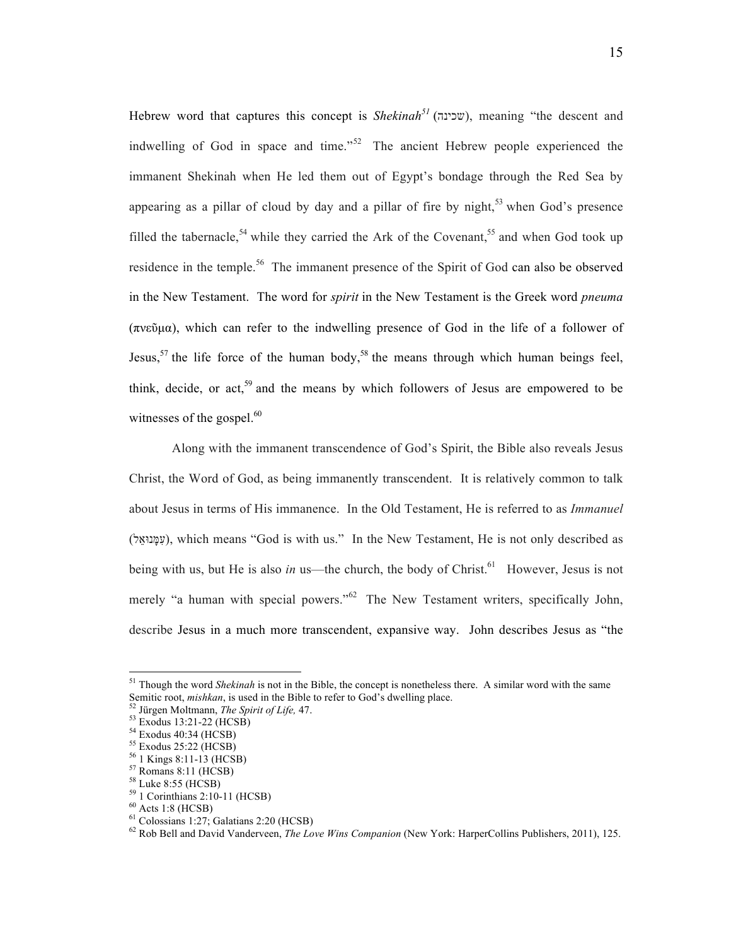Hebrew word that captures this concept is *Shekinah*<sup>51</sup> (שכינה), meaning "the descent and indwelling of God in space and time."<sup>52</sup> The ancient Hebrew people experienced the immanent Shekinah when He led them out of Egypt's bondage through the Red Sea by appearing as a pillar of cloud by day and a pillar of fire by night,<sup>53</sup> when God's presence filled the tabernacle,<sup>54</sup> while they carried the Ark of the Covenant,<sup>55</sup> and when God took up residence in the temple.<sup>56</sup> The immanent presence of the Spirit of God can also be observed in the New Testament. The word for *spirit* in the New Testament is the Greek word *pneuma*  (πνεῦµα), which can refer to the indwelling presence of God in the life of a follower of Jesus,<sup>57</sup> the life force of the human body,<sup>58</sup> the means through which human beings feel, think, decide, or act,<sup>59</sup> and the means by which followers of Jesus are empowered to be witnesses of the gospel. $60$ 

Along with the immanent transcendence of God's Spirit, the Bible also reveals Jesus Christ, the Word of God, as being immanently transcendent. It is relatively common to talk about Jesus in terms of His immanence. In the Old Testament, He is referred to as *Immanuel* (ל ֵנוּא ָמּ ִע(, which means "God is with us." In the New Testament, He is not only described as being with us, but He is also *in* us—the church, the body of Christ.<sup>61</sup> However, Jesus is not merely "a human with special powers."<sup>62</sup> The New Testament writers, specifically John, describe Jesus in a much more transcendent, expansive way. John describes Jesus as "the

<sup>&</sup>lt;sup>51</sup> Though the word *Shekinah* is not in the Bible, the concept is nonetheless there. A similar word with the same Semitic root, *mishkan*, is used in the Bible to refer to God's dwelling place.<br><sup>53</sup> Jürgen Moltmann, *The Spirit of Life*, 47.<br><sup>54</sup> Exodus 13:21-22 (HCSB)<br><sup>54</sup> Exodus 40:34 (HCSB)<br><sup>55</sup> Exodus 25:22 (HCSB)<br><sup>56</sup> I Kings 8:1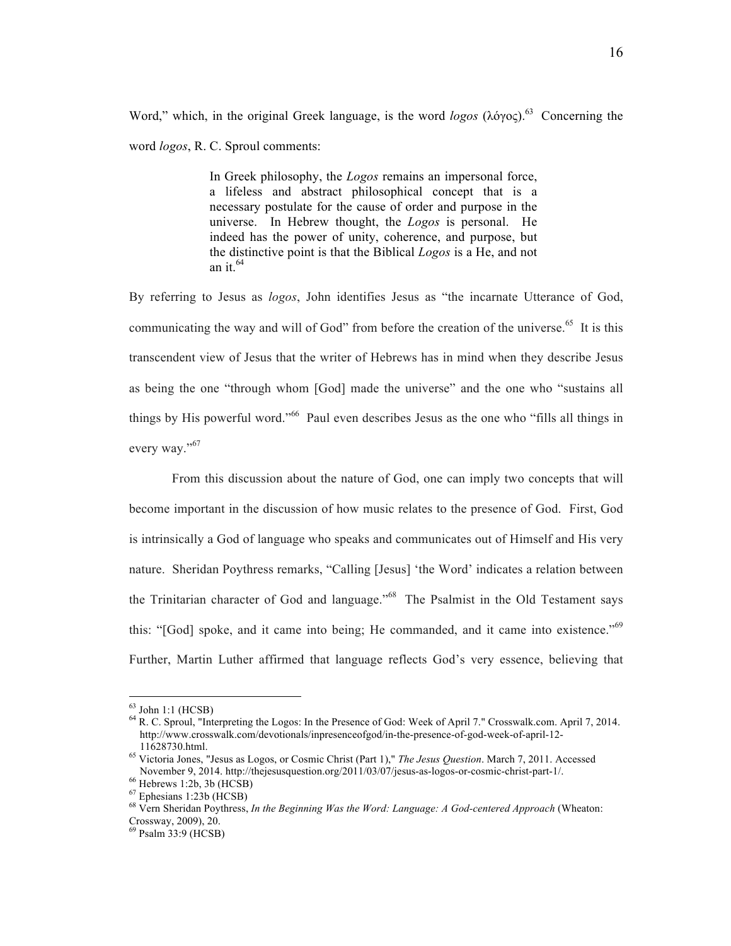Word," which, in the original Greek language, is the word *logos* (λόγος). 63 Concerning the word *logos*, R. C. Sproul comments:

> In Greek philosophy, the *Logos* remains an impersonal force, a lifeless and abstract philosophical concept that is a necessary postulate for the cause of order and purpose in the universe. In Hebrew thought, the *Logos* is personal. He indeed has the power of unity, coherence, and purpose, but the distinctive point is that the Biblical *Logos* is a He, and not an it.  $64$

By referring to Jesus as *logos*, John identifies Jesus as "the incarnate Utterance of God, communicating the way and will of God" from before the creation of the universe.<sup>65</sup> It is this transcendent view of Jesus that the writer of Hebrews has in mind when they describe Jesus as being the one "through whom [God] made the universe" and the one who "sustains all things by His powerful word."66 Paul even describes Jesus as the one who "fills all things in every way."<sup>67</sup>

From this discussion about the nature of God, one can imply two concepts that will become important in the discussion of how music relates to the presence of God. First, God is intrinsically a God of language who speaks and communicates out of Himself and His very nature. Sheridan Poythress remarks, "Calling [Jesus] 'the Word' indicates a relation between the Trinitarian character of God and language."68 The Psalmist in the Old Testament says this: " $[God] spoke, and it came into being; He commanded, and it came into existence."  $^{69}$$ Further, Martin Luther affirmed that language reflects God's very essence, believing that

 $^{63}$  John 1:1 (HCSB)<br> $^{64}$  R. C. Sproul, "Interpreting the Logos: In the Presence of God: Week of April 7." Crosswalk.com. April 7, 2014. http://www.crosswalk.com/devotionals/inpresenceofgod/in-the-presence-of-god-week-of-april-12-

<sup>11628730.</sup>html. <sup>65</sup> Victoria Jones, "Jesus as Logos, or Cosmic Christ (Part 1)," *The Jesus Question*. March 7, 2011. Accessed

November 9, 2014. http://thejesusquestion.org/2011/03/07/jesus-as-logos-or-cosmic-christ-part-1/.<br>
<sup>66</sup> Hebrews 1:2b, 3b (HCSB)<br>
<sup>67</sup> Ephesians 1:23b (HCSB)<br>
<sup>67</sup> Ephesians 1:23b (HCSB)<br>
<sup>68</sup> Vern Sheridan Poythress, *In t* 

 $^{69}$  Psalm 33:9 (HCSB)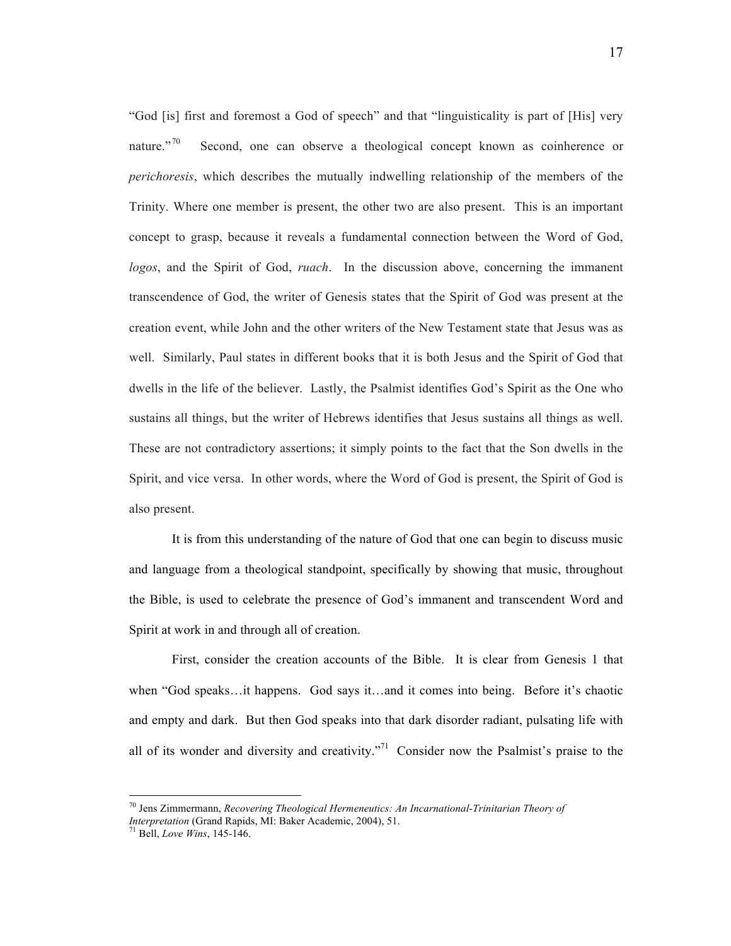"God [is] first and foremost a God of speech" and that "linguisticality is part of [His] very nature."<sup>70</sup> Second, one can observe a theological concept known as coinherence or *perichoresis*, which describes the mutually indwelling relationship of the members of the Trinity. Where one member is present, the other two are also present. This is an important concept to grasp, because it reveals a fundamental connection between the Word of God, *logos*, and the Spirit of God, *ruach*. In the discussion above, concerning the immanent transcendence of God, the writer of Genesis states that the Spirit of God was present at the creation event, while John and the other writers of the New Testament state that Jesus was as well. Similarly, Paul states in different books that it is both Jesus and the Spirit of God that dwells in the life of the believer. Lastly, the Psalmist identifies God's Spirit as the One who sustains all things, but the writer of Hebrews identifies that Jesus sustains all things as well. These are not contradictory assertions; it simply points to the fact that the Son dwells in the Spirit, and vice versa. In other words, where the Word of God is present, the Spirit of God is also present.

It is from this understanding of the nature of God that one can begin to discuss music and language from a theological standpoint, specifically by showing that music, throughout the Bible, is used to celebrate the presence of God's immanent and transcendent Word and Spirit at work in and through all of creation.

First, consider the creation accounts of the Bible. It is clear from Genesis 1 that when "God speaks…it happens. God says it…and it comes into being. Before it's chaotic and empty and dark. But then God speaks into that dark disorder radiant, pulsating life with all of its wonder and diversity and creativity."<sup>71</sup> Consider now the Psalmist's praise to the

<sup>70</sup> Jens Zimmermann, *Recovering Theological Hermeneutics: An Incarnational-Trinitarian Theory of* 

*Interpretation* (Grand Rapids, MI: Baker Academic, 2004), 51. <sup>71</sup> Bell, *Love Wins*, 145-146.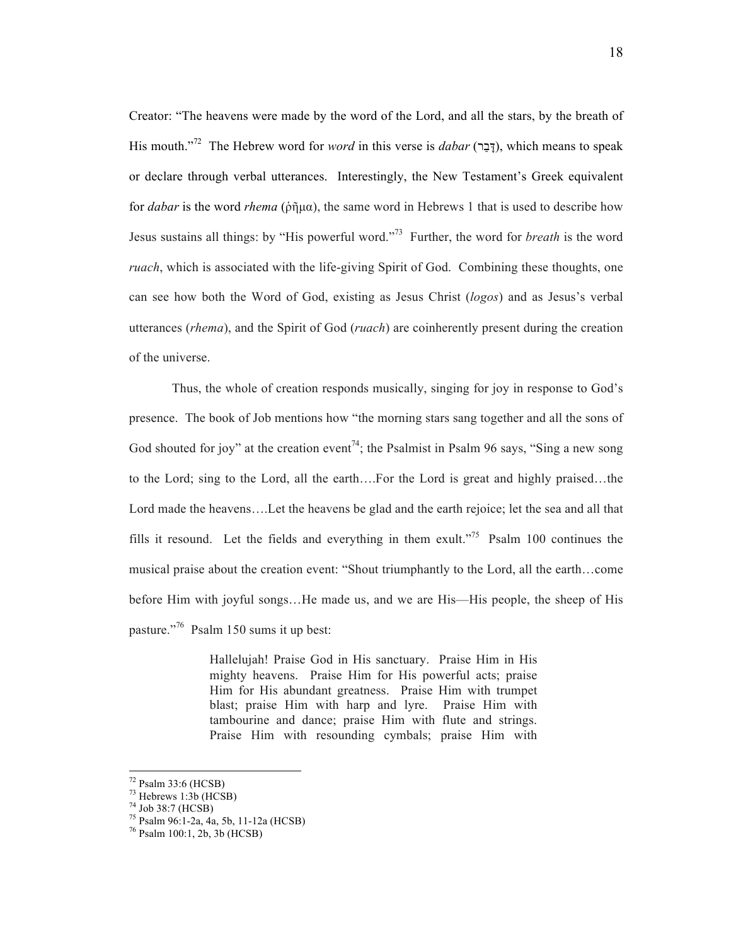Creator: "The heavens were made by the word of the Lord, and all the stars, by the breath of His mouth."<sup>72</sup> The Hebrew word for *word* in this verse is *dabar* (דָּבָר), which means to speak or declare through verbal utterances. Interestingly, the New Testament's Greek equivalent for *dabar* is the word *rhema* (ῥῆµα), the same word in Hebrews 1 that is used to describe how Jesus sustains all things: by "His powerful word."73 Further, the word for *breath* is the word *ruach*, which is associated with the life-giving Spirit of God. Combining these thoughts, one can see how both the Word of God, existing as Jesus Christ (*logos*) and as Jesus's verbal utterances (*rhema*), and the Spirit of God (*ruach*) are coinherently present during the creation of the universe.

Thus, the whole of creation responds musically, singing for joy in response to God's presence. The book of Job mentions how "the morning stars sang together and all the sons of God shouted for joy" at the creation event<sup>74</sup>; the Psalmist in Psalm 96 says, "Sing a new song to the Lord; sing to the Lord, all the earth….For the Lord is great and highly praised…the Lord made the heavens….Let the heavens be glad and the earth rejoice; let the sea and all that fills it resound. Let the fields and everything in them exult."<sup>75</sup> Psalm 100 continues the musical praise about the creation event: "Shout triumphantly to the Lord, all the earth…come before Him with joyful songs…He made us, and we are His—His people, the sheep of His pasture."76 Psalm 150 sums it up best:

> Hallelujah! Praise God in His sanctuary. Praise Him in His mighty heavens. Praise Him for His powerful acts; praise Him for His abundant greatness. Praise Him with trumpet blast; praise Him with harp and lyre. Praise Him with tambourine and dance; praise Him with flute and strings. Praise Him with resounding cymbals; praise Him with

<sup>&</sup>lt;sup>72</sup> Psalm 33:6 (HCSB)<br>
<sup>73</sup> Hebrews 1:3b (HCSB)<br>
<sup>74</sup> Job 38:7 (HCSB)<br>
<sup>75</sup> Psalm 96:1-2a, 4a, 5b, 11-12a (HCSB)<br>
<sup>76</sup> Psalm 100:1, 2b, 3b (HCSB)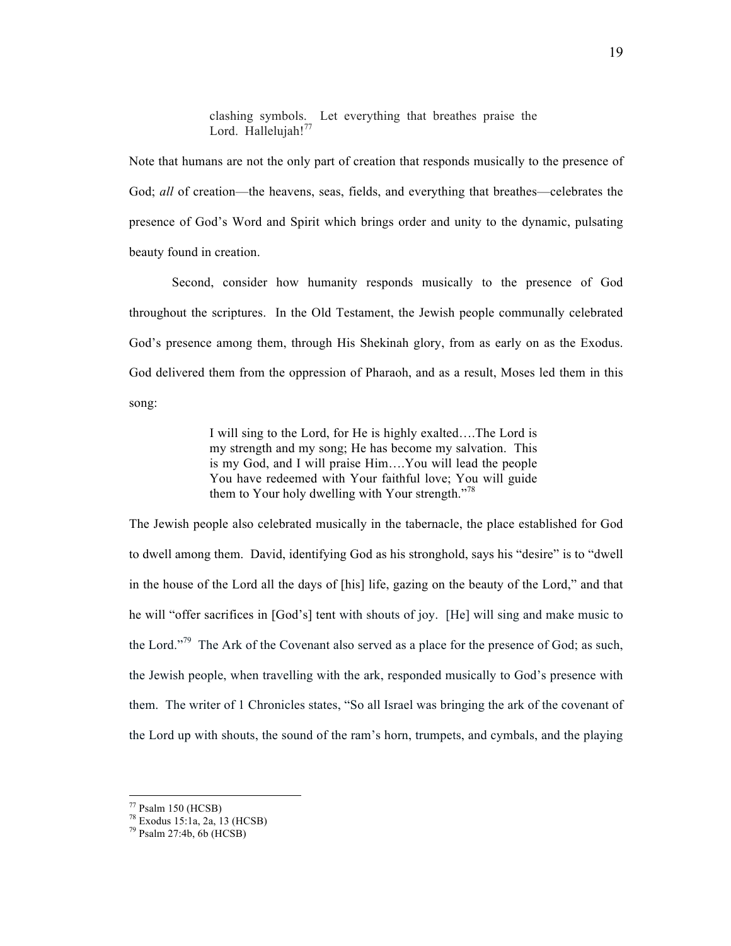clashing symbols. Let everything that breathes praise the Lord. Hallelujah!<sup>77</sup>

Note that humans are not the only part of creation that responds musically to the presence of God; *all* of creation—the heavens, seas, fields, and everything that breathes—celebrates the presence of God's Word and Spirit which brings order and unity to the dynamic, pulsating beauty found in creation.

Second, consider how humanity responds musically to the presence of God throughout the scriptures. In the Old Testament, the Jewish people communally celebrated God's presence among them, through His Shekinah glory, from as early on as the Exodus. God delivered them from the oppression of Pharaoh, and as a result, Moses led them in this song:

> I will sing to the Lord, for He is highly exalted….The Lord is my strength and my song; He has become my salvation. This is my God, and I will praise Him….You will lead the people You have redeemed with Your faithful love; You will guide them to Your holy dwelling with Your strength."<sup>78</sup>

The Jewish people also celebrated musically in the tabernacle, the place established for God to dwell among them. David, identifying God as his stronghold, says his "desire" is to "dwell in the house of the Lord all the days of [his] life, gazing on the beauty of the Lord," and that he will "offer sacrifices in [God's] tent with shouts of joy. [He] will sing and make music to the Lord."<sup>79</sup> The Ark of the Covenant also served as a place for the presence of God; as such, the Jewish people, when travelling with the ark, responded musically to God's presence with them. The writer of 1 Chronicles states, "So all Israel was bringing the ark of the covenant of the Lord up with shouts, the sound of the ram's horn, trumpets, and cymbals, and the playing

<sup>&</sup>lt;sup>77</sup> Psalm 150 (HCSB)<br><sup>78</sup> Exodus 15:1a, 2a, 13 (HCSB)<br><sup>79</sup> Psalm 27:4b, 6b (HCSB)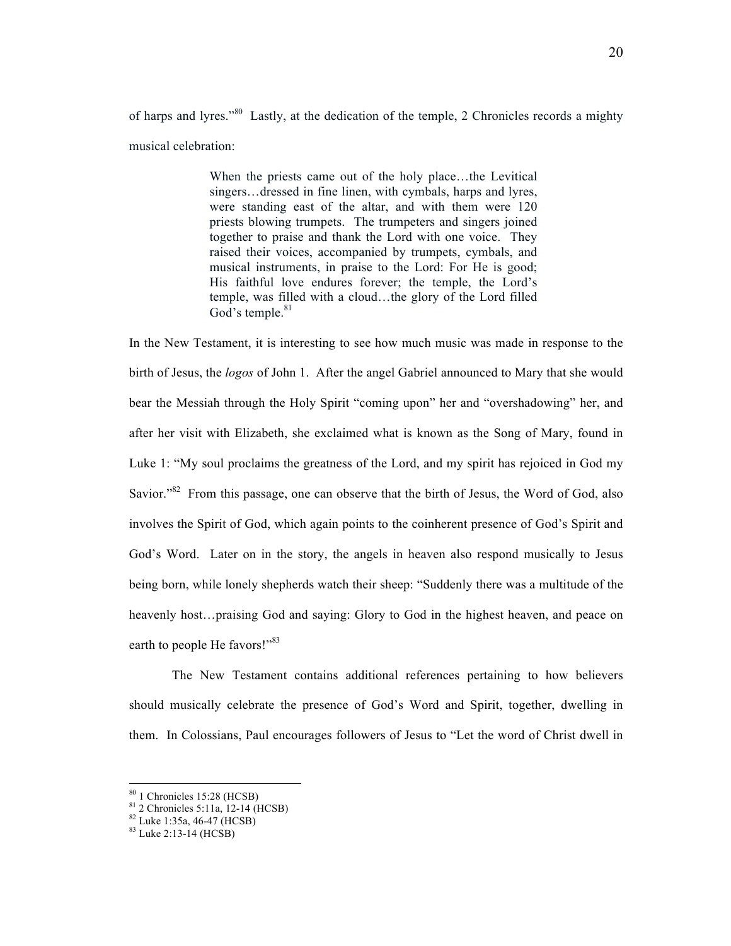of harps and lyres."<sup>80</sup> Lastly, at the dedication of the temple, 2 Chronicles records a mighty musical celebration:

> When the priests came out of the holy place…the Levitical singers…dressed in fine linen, with cymbals, harps and lyres, were standing east of the altar, and with them were 120 priests blowing trumpets. The trumpeters and singers joined together to praise and thank the Lord with one voice. They raised their voices, accompanied by trumpets, cymbals, and musical instruments, in praise to the Lord: For He is good; His faithful love endures forever; the temple, the Lord's temple, was filled with a cloud…the glory of the Lord filled God's temple. $81$

In the New Testament, it is interesting to see how much music was made in response to the birth of Jesus, the *logos* of John 1. After the angel Gabriel announced to Mary that she would bear the Messiah through the Holy Spirit "coming upon" her and "overshadowing" her, and after her visit with Elizabeth, she exclaimed what is known as the Song of Mary, found in Luke 1: "My soul proclaims the greatness of the Lord, and my spirit has rejoiced in God my Savior."<sup>82</sup> From this passage, one can observe that the birth of Jesus, the Word of God, also involves the Spirit of God, which again points to the coinherent presence of God's Spirit and God's Word. Later on in the story, the angels in heaven also respond musically to Jesus being born, while lonely shepherds watch their sheep: "Suddenly there was a multitude of the heavenly host…praising God and saying: Glory to God in the highest heaven, and peace on earth to people He favors!"<sup>83</sup>

The New Testament contains additional references pertaining to how believers should musically celebrate the presence of God's Word and Spirit, together, dwelling in them. In Colossians, Paul encourages followers of Jesus to "Let the word of Christ dwell in

<sup>&</sup>lt;sup>80</sup> 1 Chronicles 15:28 (HCSB)<br><sup>81</sup> 2 Chronicles 5:11a, 12-14 (HCSB)<br><sup>82</sup> Luke 1:35a, 46-47 (HCSB)<br><sup>83</sup> Luke 2:13-14 (HCSB)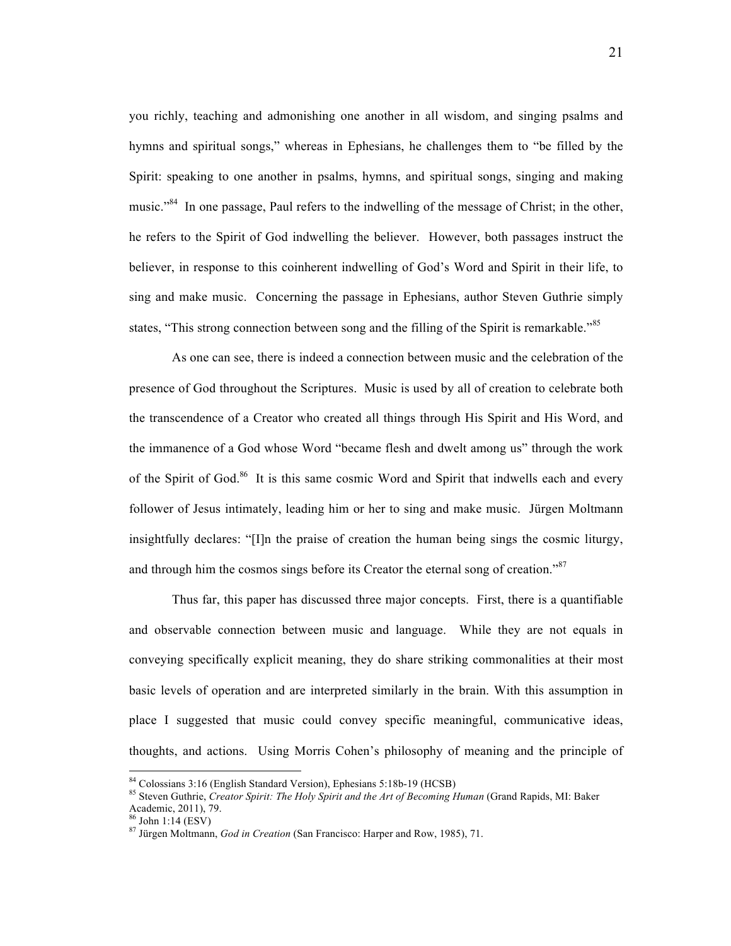you richly, teaching and admonishing one another in all wisdom, and singing psalms and hymns and spiritual songs," whereas in Ephesians, he challenges them to "be filled by the Spirit: speaking to one another in psalms, hymns, and spiritual songs, singing and making music."<sup>84</sup> In one passage, Paul refers to the indwelling of the message of Christ; in the other, he refers to the Spirit of God indwelling the believer. However, both passages instruct the believer, in response to this coinherent indwelling of God's Word and Spirit in their life, to sing and make music. Concerning the passage in Ephesians, author Steven Guthrie simply states, "This strong connection between song and the filling of the Spirit is remarkable."<sup>85</sup>

As one can see, there is indeed a connection between music and the celebration of the presence of God throughout the Scriptures. Music is used by all of creation to celebrate both the transcendence of a Creator who created all things through His Spirit and His Word, and the immanence of a God whose Word "became flesh and dwelt among us" through the work of the Spirit of God.<sup>86</sup> It is this same cosmic Word and Spirit that indwells each and every follower of Jesus intimately, leading him or her to sing and make music. Jürgen Moltmann insightfully declares: "[I]n the praise of creation the human being sings the cosmic liturgy, and through him the cosmos sings before its Creator the eternal song of creation."<sup>87</sup>

Thus far, this paper has discussed three major concepts. First, there is a quantifiable and observable connection between music and language. While they are not equals in conveying specifically explicit meaning, they do share striking commonalities at their most basic levels of operation and are interpreted similarly in the brain. With this assumption in place I suggested that music could convey specific meaningful, communicative ideas, thoughts, and actions. Using Morris Cohen's philosophy of meaning and the principle of

<sup>&</sup>lt;sup>84</sup> Colossians 3:16 (English Standard Version), Ephesians 5:18b-19 (HCSB)<br><sup>85</sup> Steven Guthrie, *Creator Spirit: The Holy Spirit and the Art of Becoming Human* (Grand Rapids, MI: Baker<br>Academic, 2011), 79.<br><sup>86</sup> John 1:14 (

<sup>&</sup>lt;sup>87</sup> Jürgen Moltmann, *God in Creation* (San Francisco: Harper and Row, 1985), 71.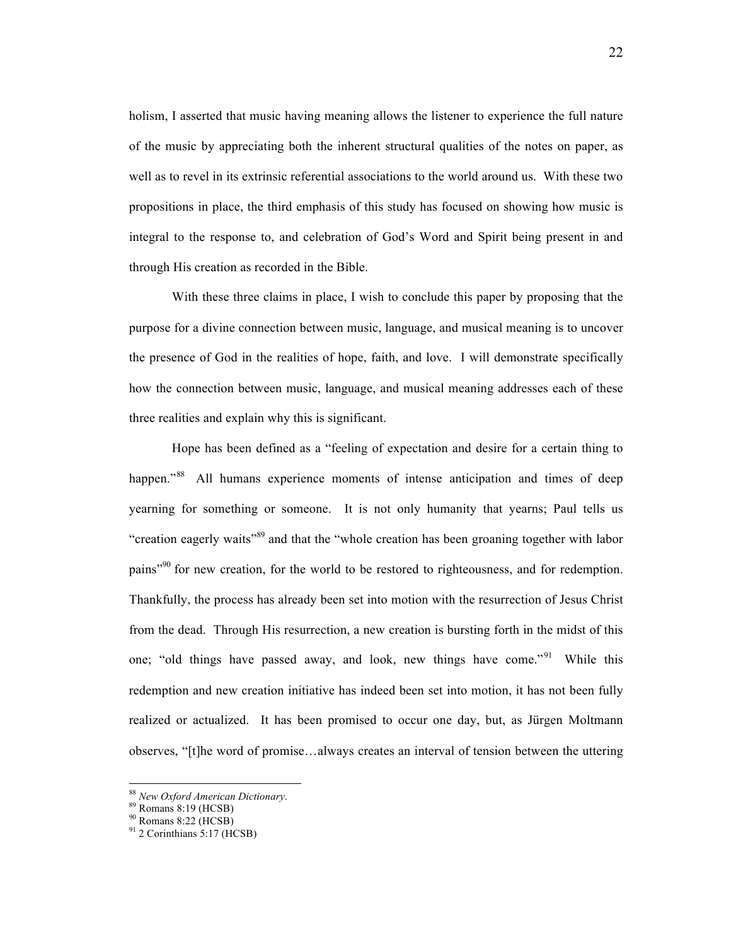holism, I asserted that music having meaning allows the listener to experience the full nature of the music by appreciating both the inherent structural qualities of the notes on paper, as well as to revel in its extrinsic referential associations to the world around us. With these two propositions in place, the third emphasis of this study has focused on showing how music is integral to the response to, and celebration of God's Word and Spirit being present in and through His creation as recorded in the Bible.

With these three claims in place, I wish to conclude this paper by proposing that the purpose for a divine connection between music, language, and musical meaning is to uncover the presence of God in the realities of hope, faith, and love. I will demonstrate specifically how the connection between music, language, and musical meaning addresses each of these three realities and explain why this is significant.

Hope has been defined as a "feeling of expectation and desire for a certain thing to happen."<sup>88</sup> All humans experience moments of intense anticipation and times of deep yearning for something or someone. It is not only humanity that yearns; Paul tells us "creation eagerly waits<sup>"89</sup> and that the "whole creation has been groaning together with labor pains"<sup>90</sup> for new creation, for the world to be restored to righteousness, and for redemption. Thankfully, the process has already been set into motion with the resurrection of Jesus Christ from the dead. Through His resurrection, a new creation is bursting forth in the midst of this one; "old things have passed away, and look, new things have come."<sup>91</sup> While this redemption and new creation initiative has indeed been set into motion, it has not been fully realized or actualized. It has been promised to occur one day, but, as Jürgen Moltmann observes, "[t]he word of promise…always creates an interval of tension between the uttering

 <sup>88</sup> *New Oxford American Dictionary*.<br><sup>89</sup> Romans 8:19 (HCSB)<br><sup>90</sup> Romans 8:22 (HCSB)<br><sup>91</sup> 2 Corinthians 5:17 (HCSB)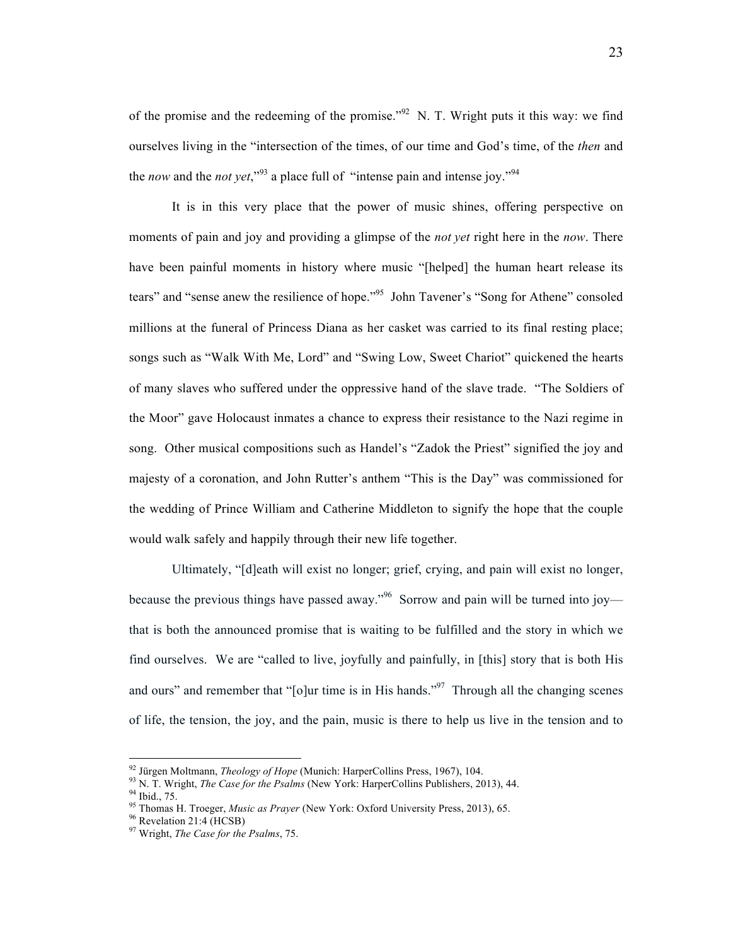of the promise and the redeeming of the promise.<sup>"92</sup> N. T. Wright puts it this way: we find ourselves living in the "intersection of the times, of our time and God's time, of the *then* and the *now* and the *not yet*,"<sup>93</sup> a place full of "intense pain and intense joy."<sup>94</sup>

It is in this very place that the power of music shines, offering perspective on moments of pain and joy and providing a glimpse of the *not yet* right here in the *now*. There have been painful moments in history where music "[helped] the human heart release its tears" and "sense anew the resilience of hope."<sup>95</sup> John Tavener's "Song for Athene" consoled millions at the funeral of Princess Diana as her casket was carried to its final resting place; songs such as "Walk With Me, Lord" and "Swing Low, Sweet Chariot" quickened the hearts of many slaves who suffered under the oppressive hand of the slave trade. "The Soldiers of the Moor" gave Holocaust inmates a chance to express their resistance to the Nazi regime in song. Other musical compositions such as Handel's "Zadok the Priest" signified the joy and majesty of a coronation, and John Rutter's anthem "This is the Day" was commissioned for the wedding of Prince William and Catherine Middleton to signify the hope that the couple would walk safely and happily through their new life together.

Ultimately, "[d]eath will exist no longer; grief, crying, and pain will exist no longer, because the previous things have passed away."<sup>96</sup> Sorrow and pain will be turned into joy that is both the announced promise that is waiting to be fulfilled and the story in which we find ourselves. We are "called to live, joyfully and painfully, in [this] story that is both His and ours" and remember that " $[o]$ ur time is in His hands."<sup>97</sup> Through all the changing scenes of life, the tension, the joy, and the pain, music is there to help us live in the tension and to

<sup>&</sup>lt;sup>92</sup> Jürgen Moltmann, *Theology of Hope* (Munich: HarperCollins Press, 1967), 104.<br><sup>93</sup> N. T. Wright, *The Case for the Psalms* (New York: HarperCollins Publishers, 2013), 44.<br><sup>94</sup> Ibid., 75.<br><sup>95</sup> Thomas H. Troeger, *Musi*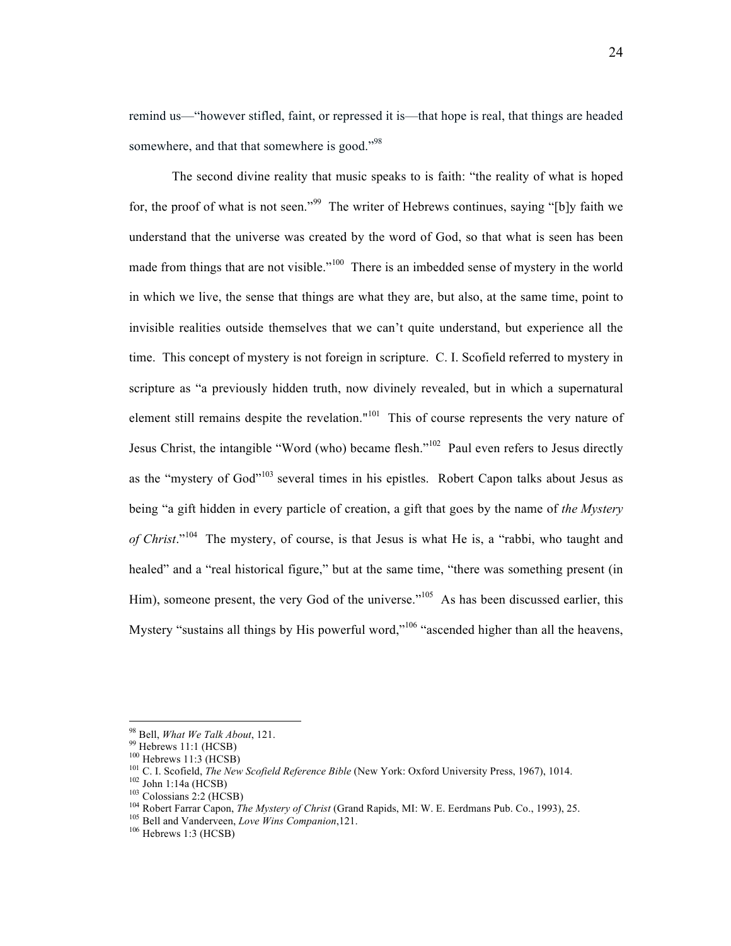remind us—"however stifled, faint, or repressed it is—that hope is real, that things are headed somewhere, and that that somewhere is good."<sup>98</sup>

The second divine reality that music speaks to is faith: "the reality of what is hoped for, the proof of what is not seen."<sup>99</sup> The writer of Hebrews continues, saying "[b]y faith we understand that the universe was created by the word of God, so that what is seen has been made from things that are not visible."<sup>100</sup> There is an imbedded sense of mystery in the world in which we live, the sense that things are what they are, but also, at the same time, point to invisible realities outside themselves that we can't quite understand, but experience all the time. This concept of mystery is not foreign in scripture. C. I. Scofield referred to mystery in scripture as "a previously hidden truth, now divinely revealed, but in which a supernatural element still remains despite the revelation."<sup>101</sup> This of course represents the very nature of Jesus Christ, the intangible "Word (who) became flesh."<sup>102</sup> Paul even refers to Jesus directly as the "mystery of God"<sup>103</sup> several times in his epistles. Robert Capon talks about Jesus as being "a gift hidden in every particle of creation, a gift that goes by the name of *the Mystery of Christ*."104 The mystery, of course, is that Jesus is what He is, a "rabbi, who taught and healed" and a "real historical figure," but at the same time, "there was something present (in Him), someone present, the very God of the universe."<sup>105</sup> As has been discussed earlier, this Mystery "sustains all things by His powerful word,"106 "ascended higher than all the heavens,

<sup>&</sup>lt;sup>98</sup> Bell, *What We Talk About*, 121.<br><sup>99</sup> Hebrews 11:1 (HCSB)<br><sup>100</sup> Hebrews 11:3 (HCSB)<br><sup>101</sup> C. I. Scofield, *The New Scofield Reference Bible* (New York: Oxford University Press, 1967), 1014.<br><sup>102</sup> John 1:14a (HCSB)<br><sup>1</sup>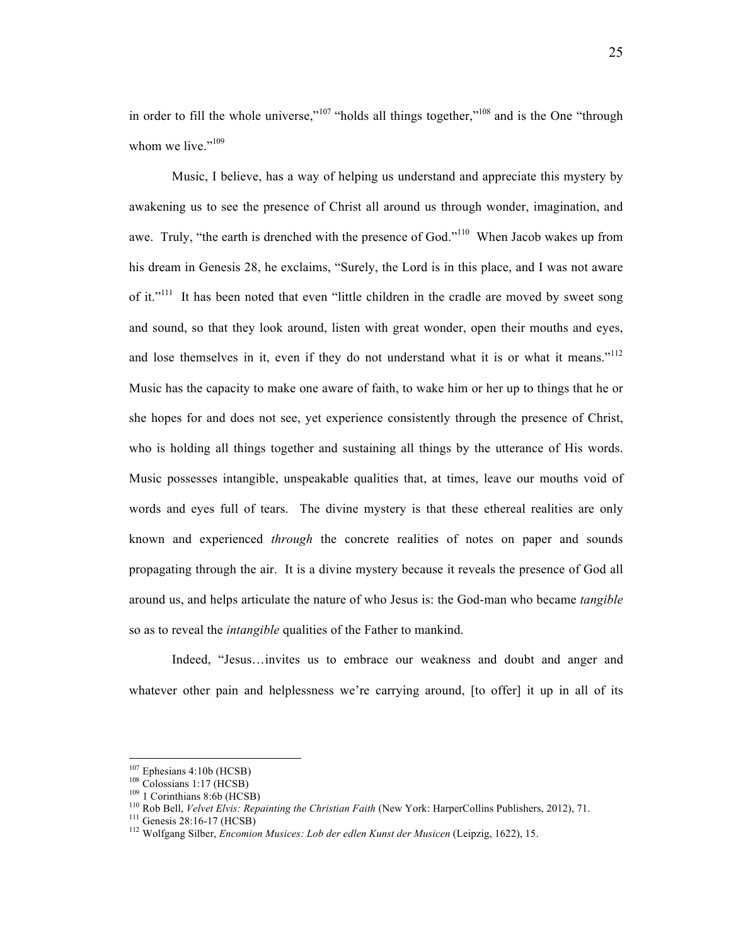in order to fill the whole universe," $107$  "holds all things together," $108$  and is the One "through whom we live."<sup>109</sup>

Music, I believe, has a way of helping us understand and appreciate this mystery by awakening us to see the presence of Christ all around us through wonder, imagination, and awe. Truly, "the earth is drenched with the presence of God."<sup>110</sup> When Jacob wakes up from his dream in Genesis 28, he exclaims, "Surely, the Lord is in this place, and I was not aware of it."<sup>111</sup> It has been noted that even "little children in the cradle are moved by sweet song and sound, so that they look around, listen with great wonder, open their mouths and eyes, and lose themselves in it, even if they do not understand what it is or what it means."<sup>112</sup> Music has the capacity to make one aware of faith, to wake him or her up to things that he or she hopes for and does not see, yet experience consistently through the presence of Christ, who is holding all things together and sustaining all things by the utterance of His words. Music possesses intangible, unspeakable qualities that, at times, leave our mouths void of words and eyes full of tears. The divine mystery is that these ethereal realities are only known and experienced *through* the concrete realities of notes on paper and sounds propagating through the air. It is a divine mystery because it reveals the presence of God all around us, and helps articulate the nature of who Jesus is: the God-man who became *tangible* so as to reveal the *intangible* qualities of the Father to mankind.

Indeed, "Jesus…invites us to embrace our weakness and doubt and anger and whatever other pain and helplessness we're carrying around, [to offer] it up in all of its

<sup>&</sup>lt;sup>107</sup> Ephesians 4:10b (HCSB)<br><sup>108</sup> Colossians 1:17 (HCSB)<br><sup>109</sup> 1 Corinthians 8:6b (HCSB)<br><sup>109</sup> 1 Corinthians 8:6b (HCSB)<br><sup>110</sup> Rob Bell, *Velvet Elvis: Repainting the Christian Faith* (New York: HarperCollins Publishers,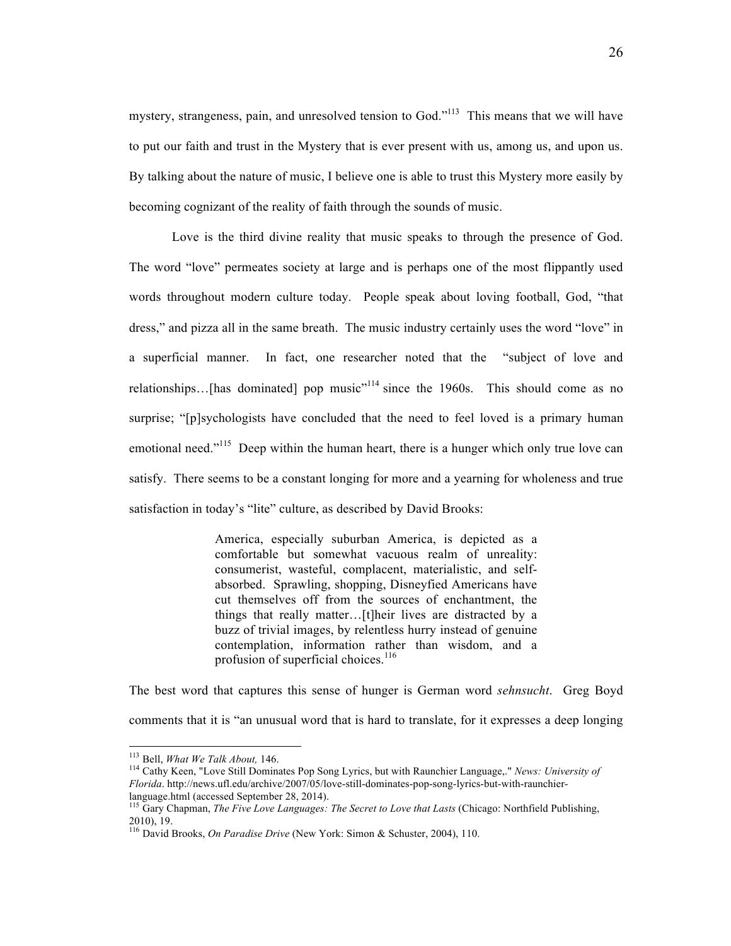mystery, strangeness, pain, and unresolved tension to God."<sup>113</sup> This means that we will have to put our faith and trust in the Mystery that is ever present with us, among us, and upon us. By talking about the nature of music, I believe one is able to trust this Mystery more easily by becoming cognizant of the reality of faith through the sounds of music.

Love is the third divine reality that music speaks to through the presence of God. The word "love" permeates society at large and is perhaps one of the most flippantly used words throughout modern culture today. People speak about loving football, God, "that dress," and pizza all in the same breath. The music industry certainly uses the word "love" in a superficial manner. In fact, one researcher noted that the "subject of love and relationships...[has dominated] pop music<sup> $n+14$ </sup> since the 1960s. This should come as no surprise; "[p]sychologists have concluded that the need to feel loved is a primary human emotional need."<sup>115</sup> Deep within the human heart, there is a hunger which only true love can satisfy. There seems to be a constant longing for more and a yearning for wholeness and true satisfaction in today's "lite" culture, as described by David Brooks:

> America, especially suburban America, is depicted as a comfortable but somewhat vacuous realm of unreality: consumerist, wasteful, complacent, materialistic, and selfabsorbed. Sprawling, shopping, Disneyfied Americans have cut themselves off from the sources of enchantment, the things that really matter…[t]heir lives are distracted by a buzz of trivial images, by relentless hurry instead of genuine contemplation, information rather than wisdom, and a profusion of superficial choices.<sup>116</sup>

The best word that captures this sense of hunger is German word *sehnsucht*. Greg Boyd comments that it is "an unusual word that is hard to translate, for it expresses a deep longing

<sup>&</sup>lt;sup>113</sup> Bell, *What We Talk About*, 146.<br><sup>114</sup> Cathy Keen, "Love Still Dominates Pop Song Lyrics, but with Raunchier Language,." *News: University of Florida*. http://news.ufl.edu/archive/2007/05/love-still-dominates-pop-song-lyrics-but-with-raunchierlanguage.html (accessed September 28, 2014).

<sup>115</sup> Gary Chapman, *The Five Love Languages: The Secret to Love that Lasts* (Chicago: Northfield Publishing,

<sup>&</sup>lt;sup>116</sup> David Brooks, *On Paradise Drive* (New York: Simon & Schuster, 2004), 110.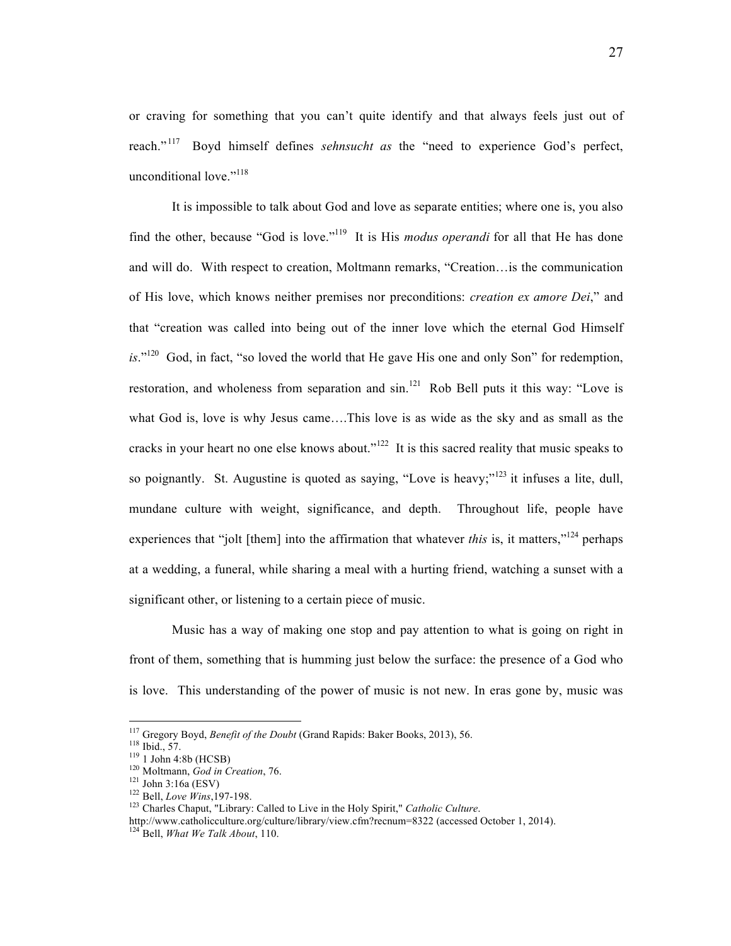or craving for something that you can't quite identify and that always feels just out of reach." 117 Boyd himself defines *sehnsucht as* the "need to experience God's perfect, unconditional love."<sup>118</sup>

It is impossible to talk about God and love as separate entities; where one is, you also find the other, because "God is love."119 It is His *modus operandi* for all that He has done and will do. With respect to creation, Moltmann remarks, "Creation…is the communication of His love, which knows neither premises nor preconditions: *creation ex amore Dei*," and that "creation was called into being out of the inner love which the eternal God Himself is."<sup>120</sup> God, in fact, "so loved the world that He gave His one and only Son" for redemption, restoration, and wholeness from separation and sin.<sup>121</sup> Rob Bell puts it this way: "Love is what God is, love is why Jesus came….This love is as wide as the sky and as small as the cracks in your heart no one else knows about."<sup>122</sup> It is this sacred reality that music speaks to so poignantly. St. Augustine is quoted as saying, "Love is heavy;"<sup>123</sup> it infuses a lite, dull, mundane culture with weight, significance, and depth. Throughout life, people have experiences that "jolt [them] into the affirmation that whatever *this* is, it matters,"<sup>124</sup> perhaps at a wedding, a funeral, while sharing a meal with a hurting friend, watching a sunset with a significant other, or listening to a certain piece of music.

Music has a way of making one stop and pay attention to what is going on right in front of them, something that is humming just below the surface: the presence of a God who is love. This understanding of the power of music is not new. In eras gone by, music was

<sup>&</sup>lt;sup>117</sup> Gregory Boyd, Benefit of the Doubt (Grand Rapids: Baker Books, 2013), 56.

<sup>&</sup>lt;sup>118</sup> Ibid., 57.<br>
<sup>119</sup> I John 4:8b (HCSB)<br>
<sup>120</sup> Moltmann, *God in Creation*, 76.<br>
<sup>121</sup> John 3:16a (ESV)<br>
<sup>122</sup> Bell, *Love Wins*, 197-198.<br>
<sup>123</sup> Charles Chaput, "Library: Called to Live in the Holy Spirit," *Catholic* 

http://www.catholicculture.org/culture/library/view.cfm?recnum=8322 (accessed October 1, 2014). <sup>124</sup> Bell, *What We Talk About*, 110.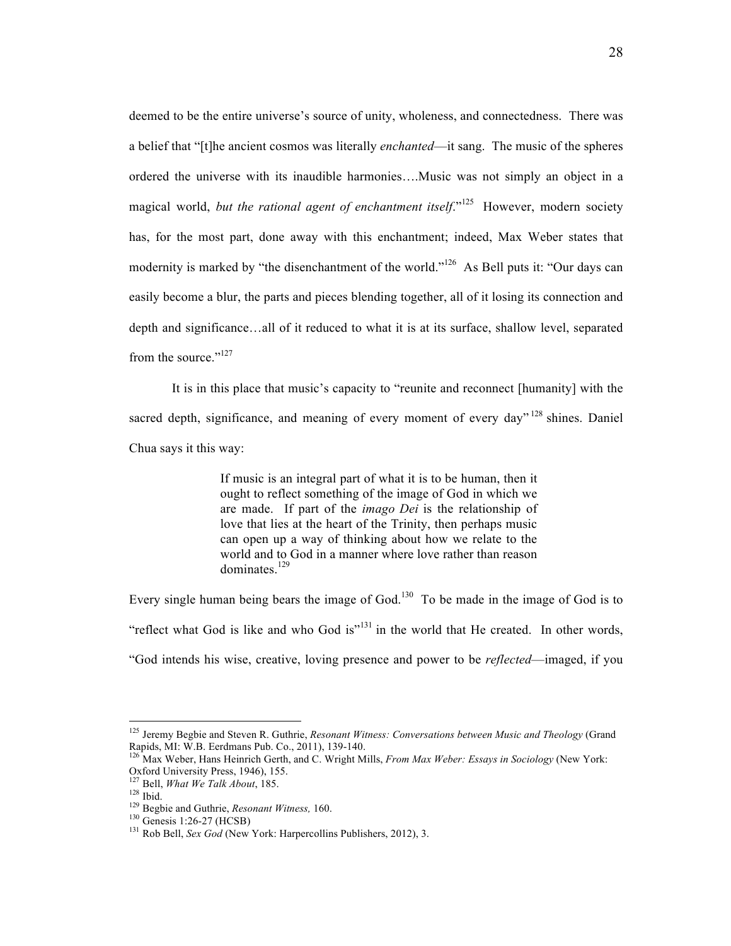deemed to be the entire universe's source of unity, wholeness, and connectedness. There was a belief that "[t]he ancient cosmos was literally *enchanted*—it sang. The music of the spheres ordered the universe with its inaudible harmonies….Music was not simply an object in a magical world, *but the rational agent of enchantment itself*<sup>1125</sup> However, modern society has, for the most part, done away with this enchantment; indeed, Max Weber states that modernity is marked by "the disenchantment of the world."<sup>126</sup> As Bell puts it: "Our days can easily become a blur, the parts and pieces blending together, all of it losing its connection and depth and significance…all of it reduced to what it is at its surface, shallow level, separated from the source."<sup>127</sup>

It is in this place that music's capacity to "reunite and reconnect [humanity] with the sacred depth, significance, and meaning of every moment of every day"  $128$  shines. Daniel Chua says it this way:

> If music is an integral part of what it is to be human, then it ought to reflect something of the image of God in which we are made. If part of the *imago Dei* is the relationship of love that lies at the heart of the Trinity, then perhaps music can open up a way of thinking about how we relate to the world and to God in a manner where love rather than reason dominates.<sup>129</sup>

Every single human being bears the image of God.<sup>130</sup> To be made in the image of God is to "reflect what God is like and who God is" $131$  in the world that He created. In other words, "God intends his wise, creative, loving presence and power to be *reflected*—imaged, if you

<sup>125</sup> Jeremy Begbie and Steven R. Guthrie, *Resonant Witness: Conversations between Music and Theology* (Grand Rapids, MI: W.B. Eerdmans Pub. Co., 2011), 139-140.<br><sup>126</sup> Max Weber, Hans Heinrich Gerth, and C. Wright Mills, *From Max Weber: Essays in Sociology* (New York:

Oxford University Press, 1946), 155.<br><sup>127</sup> Bell, *What We Talk About*, 185.<br><sup>128</sup> Ibid.<br><sup>129</sup> Begbie and Guthrie, *Resonant Witness*, 160.<br><sup>130</sup> Genesis 1:26-27 (HCSB)<br><sup>131</sup> Rob Bell, *Sex God* (New York: Harpercollins Pub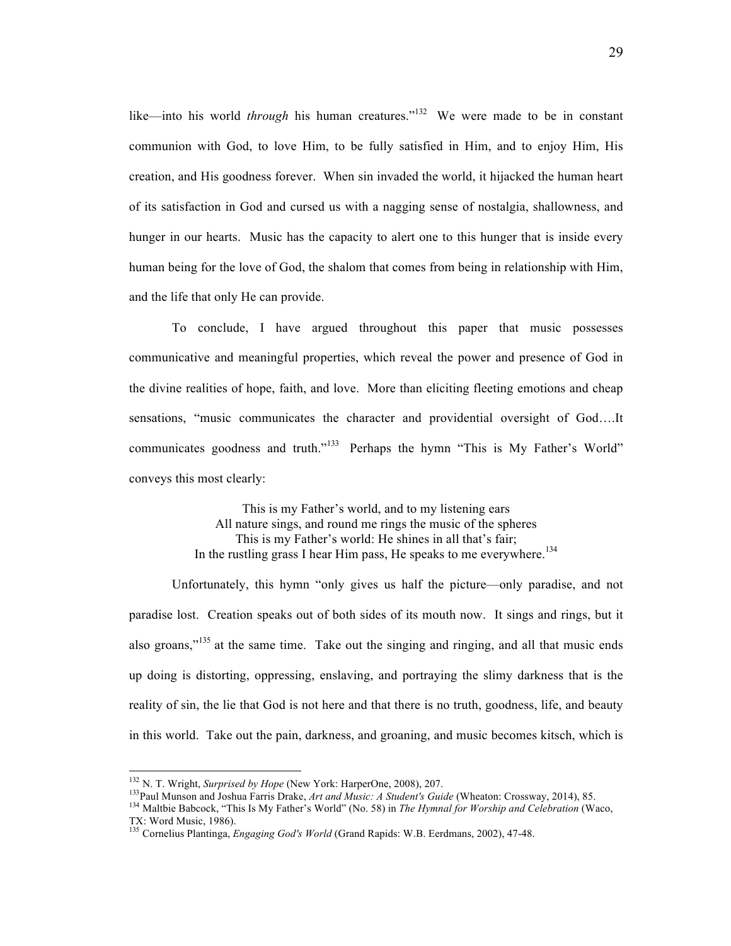like—into his world *through* his human creatures."<sup>132</sup> We were made to be in constant communion with God, to love Him, to be fully satisfied in Him, and to enjoy Him, His creation, and His goodness forever. When sin invaded the world, it hijacked the human heart of its satisfaction in God and cursed us with a nagging sense of nostalgia, shallowness, and hunger in our hearts. Music has the capacity to alert one to this hunger that is inside every human being for the love of God, the shalom that comes from being in relationship with Him, and the life that only He can provide.

To conclude, I have argued throughout this paper that music possesses communicative and meaningful properties, which reveal the power and presence of God in the divine realities of hope, faith, and love. More than eliciting fleeting emotions and cheap sensations, "music communicates the character and providential oversight of God….It communicates goodness and truth."<sup>133</sup> Perhaps the hymn "This is My Father's World" conveys this most clearly:

> This is my Father's world, and to my listening ears All nature sings, and round me rings the music of the spheres This is my Father's world: He shines in all that's fair; In the rustling grass I hear Him pass, He speaks to me everywhere.<sup>134</sup>

Unfortunately, this hymn "only gives us half the picture—only paradise, and not paradise lost. Creation speaks out of both sides of its mouth now. It sings and rings, but it also groans,"<sup>135</sup> at the same time. Take out the singing and ringing, and all that music ends up doing is distorting, oppressing, enslaving, and portraying the slimy darkness that is the reality of sin, the lie that God is not here and that there is no truth, goodness, life, and beauty in this world. Take out the pain, darkness, and groaning, and music becomes kitsch, which is

<sup>&</sup>lt;sup>132</sup> N. T. Wright, *Surprised by Hope* (New York: HarperOne, 2008), 207.<br><sup>133</sup> Paul Munson and Joshua Farris Drake, *Art and Music: A Student's Guide* (Wheaton: Crossway, 2014), 85.<br><sup>134</sup> Maltbie Babcock, "This Is My Fat

<sup>&</sup>lt;sup>135</sup> Cornelius Plantinga, *Engaging God's World* (Grand Rapids: W.B. Eerdmans, 2002), 47-48.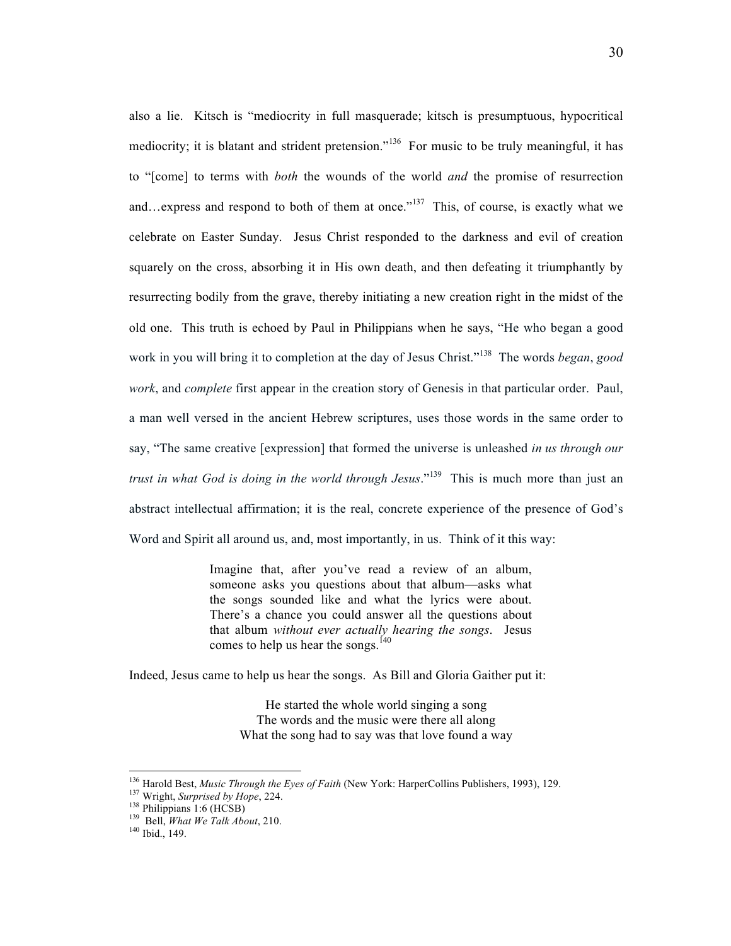also a lie. Kitsch is "mediocrity in full masquerade; kitsch is presumptuous, hypocritical mediocrity; it is blatant and strident pretension."<sup>136</sup> For music to be truly meaningful, it has to "[come] to terms with *both* the wounds of the world *and* the promise of resurrection and…express and respond to both of them at once.<sup> $137$ </sup> This, of course, is exactly what we celebrate on Easter Sunday. Jesus Christ responded to the darkness and evil of creation squarely on the cross, absorbing it in His own death, and then defeating it triumphantly by resurrecting bodily from the grave, thereby initiating a new creation right in the midst of the old one. This truth is echoed by Paul in Philippians when he says, "He who began a good work in you will bring it to completion at the day of Jesus Christ." 138 The words *began*, *good work*, and *complete* first appear in the creation story of Genesis in that particular order. Paul, a man well versed in the ancient Hebrew scriptures, uses those words in the same order to say, "The same creative [expression] that formed the universe is unleashed *in us through our trust in what God is doing in the world through Jesus*."139 This is much more than just an abstract intellectual affirmation; it is the real, concrete experience of the presence of God's Word and Spirit all around us, and, most importantly, in us. Think of it this way:

> Imagine that, after you've read a review of an album, someone asks you questions about that album—asks what the songs sounded like and what the lyrics were about. There's a chance you could answer all the questions about that album *without ever actually hearing the songs*. Jesus comes to help us hear the songs.<sup>140</sup>

Indeed, Jesus came to help us hear the songs. As Bill and Gloria Gaither put it:

He started the whole world singing a song The words and the music were there all along What the song had to say was that love found a way

<sup>&</sup>lt;sup>136</sup> Harold Best, *Music Through the Eyes of Faith* (New York: HarperCollins Publishers, 1993), 129.<br><sup>137</sup> Wright, *Surprised by Hope*, 224.<br><sup>138</sup> Philippians 1:6 (HCSB)<br><sup>139</sup> Bell, *What We Talk About*, 210.<br><sup>140</sup> Ibid.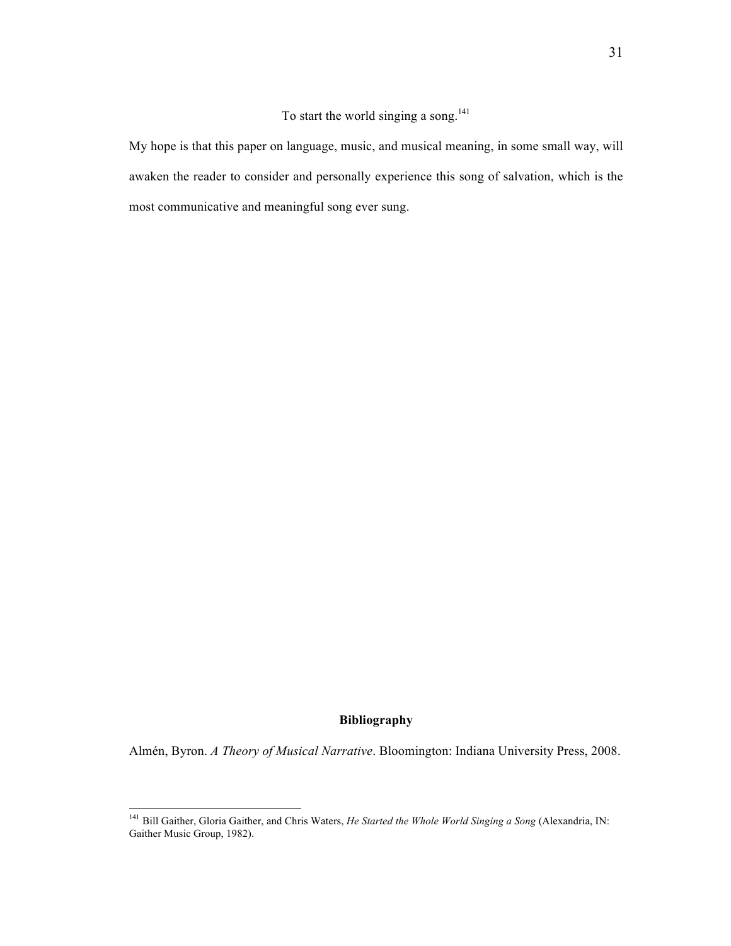To start the world singing a song. $^{141}$ 

My hope is that this paper on language, music, and musical meaning, in some small way, will awaken the reader to consider and personally experience this song of salvation, which is the most communicative and meaningful song ever sung.

#### **Bibliography**

Almén, Byron. *A Theory of Musical Narrative*. Bloomington: Indiana University Press, 2008.

<sup>141</sup> Bill Gaither, Gloria Gaither, and Chris Waters, *He Started the Whole World Singing a Song* (Alexandria, IN: Gaither Music Group, 1982).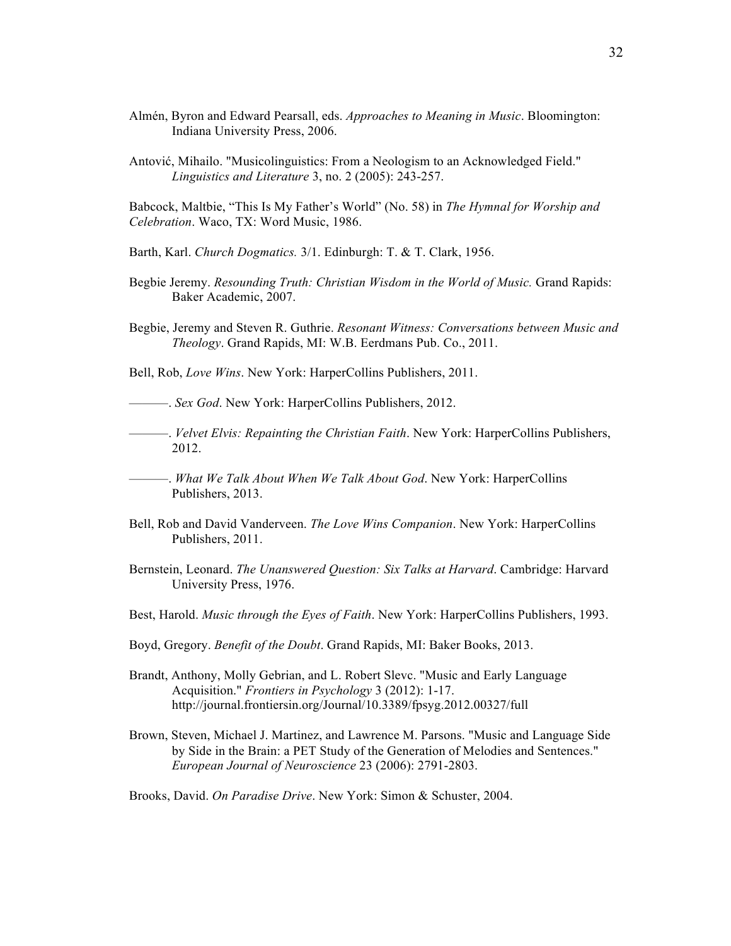- Almén, Byron and Edward Pearsall, eds. *Approaches to Meaning in Music*. Bloomington: Indiana University Press, 2006.
- Antović, Mihailo. "Musicolinguistics: From a Neologism to an Acknowledged Field." *Linguistics and Literature* 3, no. 2 (2005): 243-257.

Babcock, Maltbie, "This Is My Father's World" (No. 58) in *The Hymnal for Worship and Celebration*. Waco, TX: Word Music, 1986.

- Barth, Karl. *Church Dogmatics.* 3/1. Edinburgh: T. & T. Clark, 1956.
- Begbie Jeremy. *Resounding Truth: Christian Wisdom in the World of Music.* Grand Rapids: Baker Academic, 2007.
- Begbie, Jeremy and Steven R. Guthrie. *Resonant Witness: Conversations between Music and Theology*. Grand Rapids, MI: W.B. Eerdmans Pub. Co., 2011.
- Bell, Rob, *Love Wins*. New York: HarperCollins Publishers, 2011.

———. *Sex God*. New York: HarperCollins Publishers, 2012.

———. *Velvet Elvis: Repainting the Christian Faith*. New York: HarperCollins Publishers, 2012.

———. *What We Talk About When We Talk About God*. New York: HarperCollins Publishers, 2013.

- Bell, Rob and David Vanderveen. *The Love Wins Companion*. New York: HarperCollins Publishers, 2011.
- Bernstein, Leonard. *The Unanswered Question: Six Talks at Harvard*. Cambridge: Harvard University Press, 1976.
- Best, Harold. *Music through the Eyes of Faith*. New York: HarperCollins Publishers, 1993.
- Boyd, Gregory. *Benefit of the Doubt*. Grand Rapids, MI: Baker Books, 2013.
- Brandt, Anthony, Molly Gebrian, and L. Robert Slevc. "Music and Early Language Acquisition." *Frontiers in Psychology* 3 (2012): 1-17. http://journal.frontiersin.org/Journal/10.3389/fpsyg.2012.00327/full
- Brown, Steven, Michael J. Martinez, and Lawrence M. Parsons. "Music and Language Side by Side in the Brain: a PET Study of the Generation of Melodies and Sentences." *European Journal of Neuroscience* 23 (2006): 2791-2803.

Brooks, David. *On Paradise Drive*. New York: Simon & Schuster, 2004.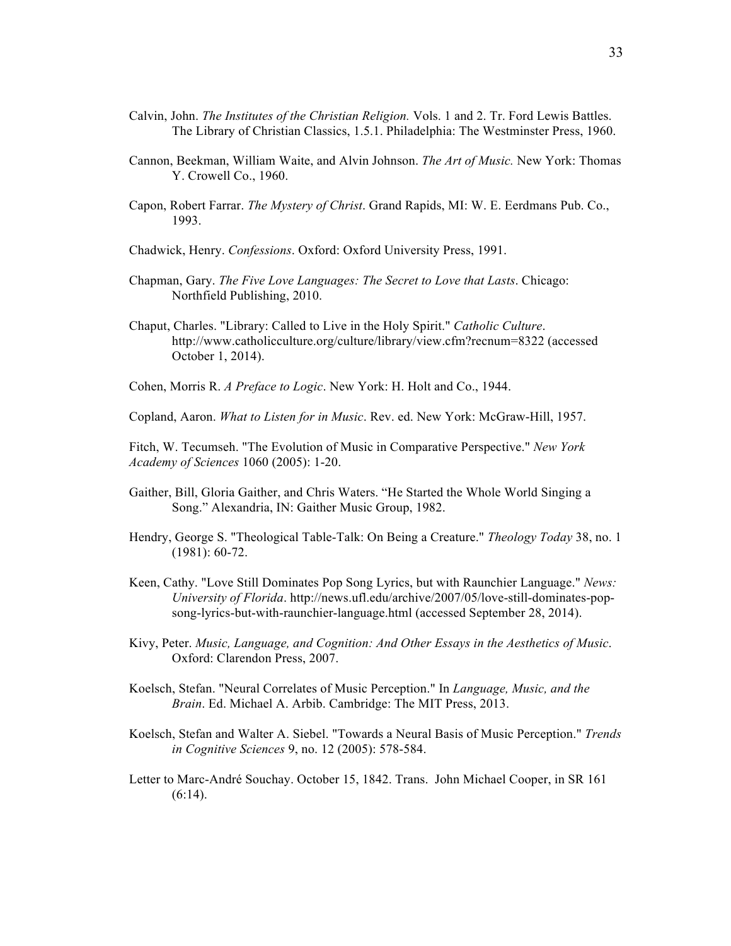- Calvin, John. *The Institutes of the Christian Religion.* Vols. 1 and 2. Tr. Ford Lewis Battles. The Library of Christian Classics, 1.5.1. Philadelphia: The Westminster Press, 1960.
- Cannon, Beekman, William Waite, and Alvin Johnson. *The Art of Music.* New York: Thomas Y. Crowell Co., 1960.
- Capon, Robert Farrar. *The Mystery of Christ*. Grand Rapids, MI: W. E. Eerdmans Pub. Co., 1993.
- Chadwick, Henry. *Confessions*. Oxford: Oxford University Press, 1991.
- Chapman, Gary. *The Five Love Languages: The Secret to Love that Lasts*. Chicago: Northfield Publishing, 2010.
- Chaput, Charles. "Library: Called to Live in the Holy Spirit." *Catholic Culture*. http://www.catholicculture.org/culture/library/view.cfm?recnum=8322 (accessed October 1, 2014).
- Cohen, Morris R. *A Preface to Logic*. New York: H. Holt and Co., 1944.
- Copland, Aaron. *What to Listen for in Music*. Rev. ed. New York: McGraw-Hill, 1957.

Fitch, W. Tecumseh. "The Evolution of Music in Comparative Perspective." *New York Academy of Sciences* 1060 (2005): 1-20.

- Gaither, Bill, Gloria Gaither, and Chris Waters. "He Started the Whole World Singing a Song." Alexandria, IN: Gaither Music Group, 1982.
- Hendry, George S. "Theological Table-Talk: On Being a Creature." *Theology Today* 38, no. 1 (1981): 60-72.
- Keen, Cathy. "Love Still Dominates Pop Song Lyrics, but with Raunchier Language." *News: University of Florida*. http://news.ufl.edu/archive/2007/05/love-still-dominates-popsong-lyrics-but-with-raunchier-language.html (accessed September 28, 2014).
- Kivy, Peter. *Music, Language, and Cognition: And Other Essays in the Aesthetics of Music*. Oxford: Clarendon Press, 2007.
- Koelsch, Stefan. "Neural Correlates of Music Perception." In *Language, Music, and the Brain*. Ed. Michael A. Arbib. Cambridge: The MIT Press, 2013.
- Koelsch, Stefan and Walter A. Siebel. "Towards a Neural Basis of Music Perception." *Trends in Cognitive Sciences* 9, no. 12 (2005): 578-584.
- Letter to Marc-André Souchay. October 15, 1842. Trans. John Michael Cooper, in SR 161  $(6:14)$ .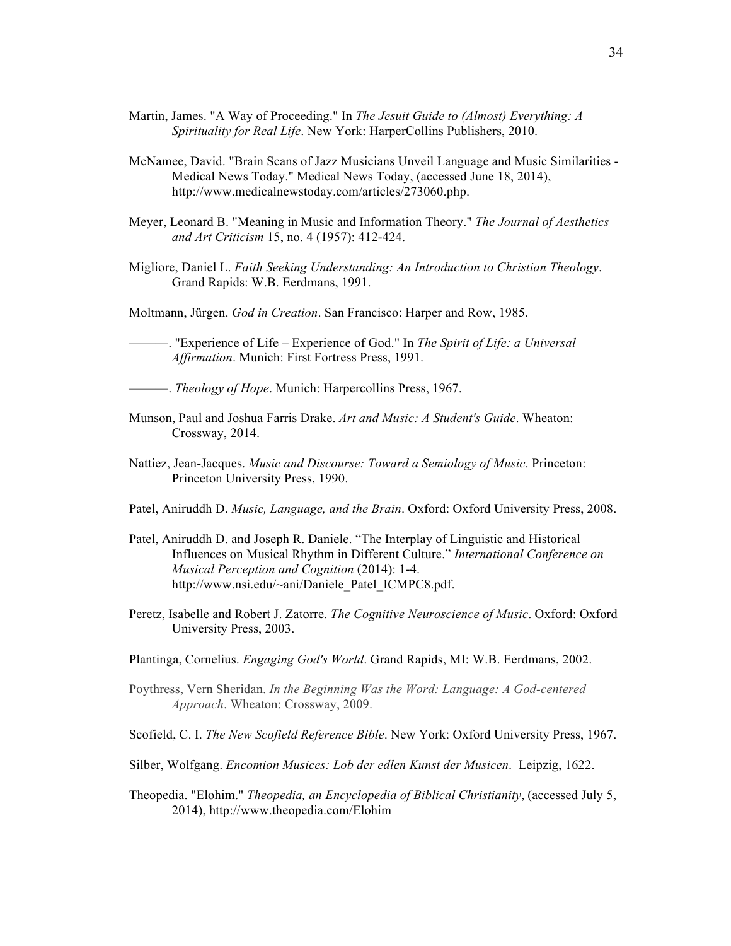- Martin, James. "A Way of Proceeding." In *The Jesuit Guide to (Almost) Everything: A Spirituality for Real Life*. New York: HarperCollins Publishers, 2010.
- McNamee, David. "Brain Scans of Jazz Musicians Unveil Language and Music Similarities Medical News Today." Medical News Today, (accessed June 18, 2014), http://www.medicalnewstoday.com/articles/273060.php.
- Meyer, Leonard B. "Meaning in Music and Information Theory." *The Journal of Aesthetics and Art Criticism* 15, no. 4 (1957): 412-424.
- Migliore, Daniel L. *Faith Seeking Understanding: An Introduction to Christian Theology*. Grand Rapids: W.B. Eerdmans, 1991.
- Moltmann, Jürgen. *God in Creation*. San Francisco: Harper and Row, 1985.

———. "Experience of Life – Experience of God." In *The Spirit of Life: a Universal Affirmation*. Munich: First Fortress Press, 1991.

- ———. *Theology of Hope*. Munich: Harpercollins Press, 1967.
- Munson, Paul and Joshua Farris Drake. *Art and Music: A Student's Guide*. Wheaton: Crossway, 2014.
- Nattiez, Jean-Jacques. *Music and Discourse: Toward a Semiology of Music*. Princeton: Princeton University Press, 1990.
- Patel, Aniruddh D. *Music, Language, and the Brain*. Oxford: Oxford University Press, 2008.
- Patel, Aniruddh D. and Joseph R. Daniele. "The Interplay of Linguistic and Historical Influences on Musical Rhythm in Different Culture." *International Conference on Musical Perception and Cognition* (2014): 1-4. http://www.nsi.edu/~ani/Daniele\_Patel\_ICMPC8.pdf.
- Peretz, Isabelle and Robert J. Zatorre. *The Cognitive Neuroscience of Music*. Oxford: Oxford University Press, 2003.
- Plantinga, Cornelius. *Engaging God's World*. Grand Rapids, MI: W.B. Eerdmans, 2002.
- Poythress, Vern Sheridan. *In the Beginning Was the Word: Language: A God-centered Approach*. Wheaton: Crossway, 2009.
- Scofield, C. I. *The New Scofield Reference Bible*. New York: Oxford University Press, 1967.
- Silber, Wolfgang. *Encomion Musices: Lob der edlen Kunst der Musicen*. Leipzig, 1622.
- Theopedia. "Elohim." *Theopedia, an Encyclopedia of Biblical Christianity*, (accessed July 5, 2014), http://www.theopedia.com/Elohim